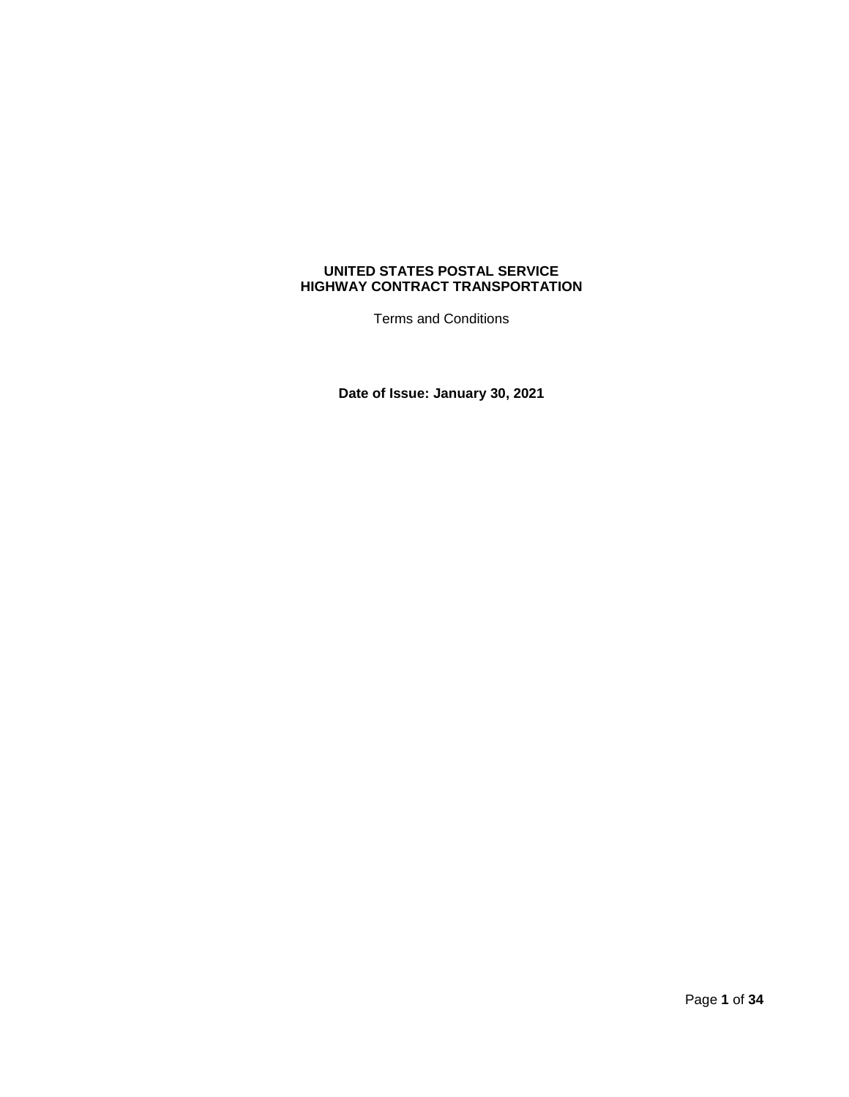# **UNITED STATES POSTAL SERVICE HIGHWAY CONTRACT TRANSPORTATION**

Terms and Conditions

**Date of Issue: January 30, 2021**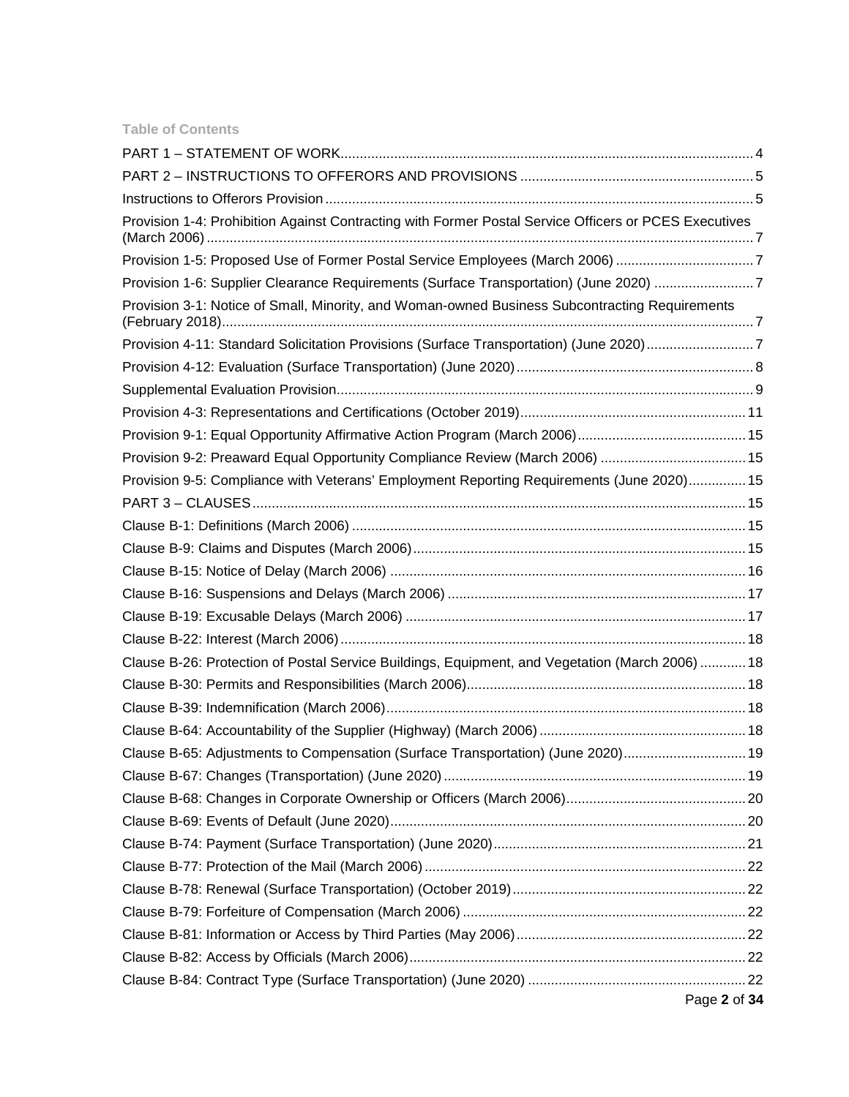|  |  |  | <b>Table of Contents</b> |
|--|--|--|--------------------------|
|  |  |  |                          |

| Provision 1-4: Prohibition Against Contracting with Former Postal Service Officers or PCES Executives |  |
|-------------------------------------------------------------------------------------------------------|--|
| Provision 1-5: Proposed Use of Former Postal Service Employees (March 2006) 7                         |  |
| Provision 1-6: Supplier Clearance Requirements (Surface Transportation) (June 2020) 7                 |  |
| Provision 3-1: Notice of Small, Minority, and Woman-owned Business Subcontracting Requirements        |  |
| Provision 4-11: Standard Solicitation Provisions (Surface Transportation) (June 2020)7                |  |
|                                                                                                       |  |
|                                                                                                       |  |
|                                                                                                       |  |
|                                                                                                       |  |
| Provision 9-2: Preaward Equal Opportunity Compliance Review (March 2006)  15                          |  |
| Provision 9-5: Compliance with Veterans' Employment Reporting Requirements (June 2020) 15             |  |
|                                                                                                       |  |
|                                                                                                       |  |
|                                                                                                       |  |
|                                                                                                       |  |
|                                                                                                       |  |
|                                                                                                       |  |
|                                                                                                       |  |
| Clause B-26: Protection of Postal Service Buildings, Equipment, and Vegetation (March 2006)  18       |  |
|                                                                                                       |  |
|                                                                                                       |  |
|                                                                                                       |  |
| Clause B-65: Adjustments to Compensation (Surface Transportation) (June 2020) 19                      |  |
|                                                                                                       |  |
|                                                                                                       |  |
|                                                                                                       |  |
|                                                                                                       |  |
|                                                                                                       |  |
|                                                                                                       |  |
|                                                                                                       |  |
|                                                                                                       |  |
|                                                                                                       |  |
|                                                                                                       |  |
| Page 2 of 34                                                                                          |  |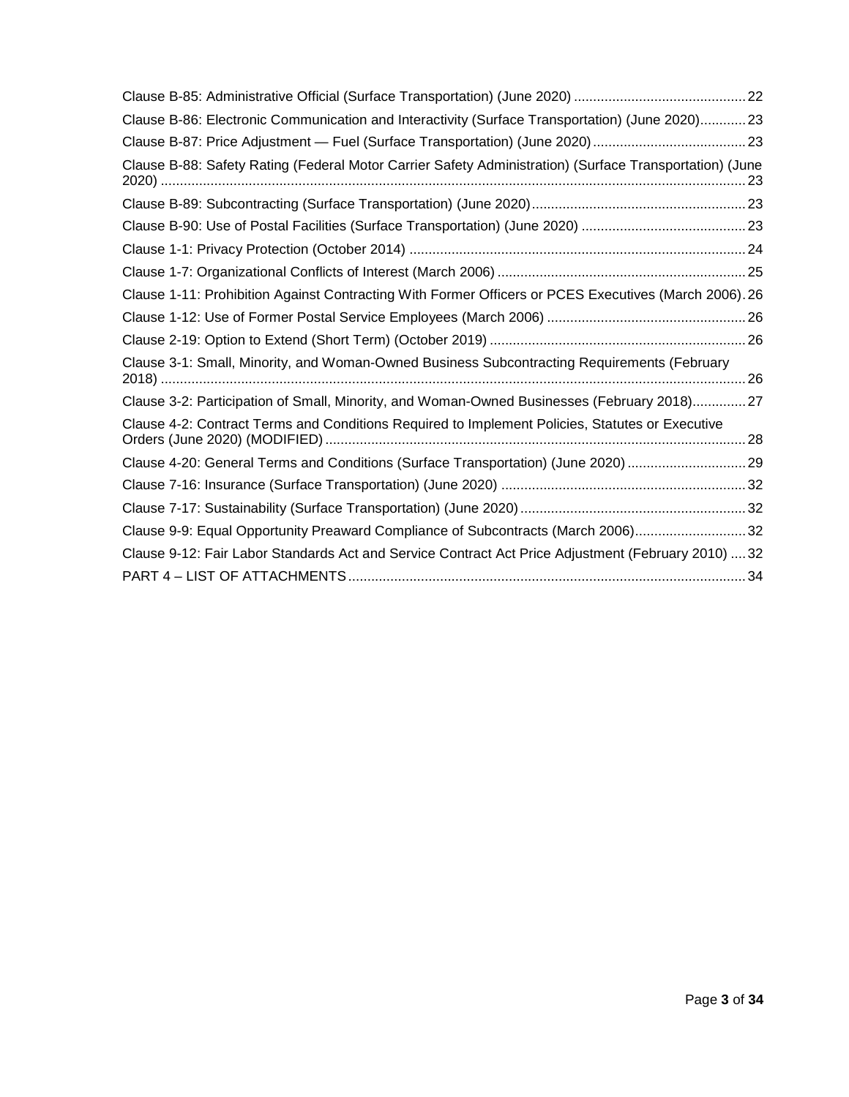| Clause B-86: Electronic Communication and Interactivity (Surface Transportation) (June 2020)23          |
|---------------------------------------------------------------------------------------------------------|
|                                                                                                         |
| Clause B-88: Safety Rating (Federal Motor Carrier Safety Administration) (Surface Transportation) (June |
|                                                                                                         |
|                                                                                                         |
|                                                                                                         |
|                                                                                                         |
| Clause 1-11: Prohibition Against Contracting With Former Officers or PCES Executives (March 2006). 26   |
|                                                                                                         |
|                                                                                                         |
| Clause 3-1: Small, Minority, and Woman-Owned Business Subcontracting Requirements (February             |
| Clause 3-2: Participation of Small, Minority, and Woman-Owned Businesses (February 2018)27              |
| Clause 4-2: Contract Terms and Conditions Required to Implement Policies, Statutes or Executive         |
| Clause 4-20: General Terms and Conditions (Surface Transportation) (June 2020) 29                       |
|                                                                                                         |
|                                                                                                         |
| Clause 9-9: Equal Opportunity Preaward Compliance of Subcontracts (March 2006)32                        |
| Clause 9-12: Fair Labor Standards Act and Service Contract Act Price Adjustment (February 2010)  32     |
|                                                                                                         |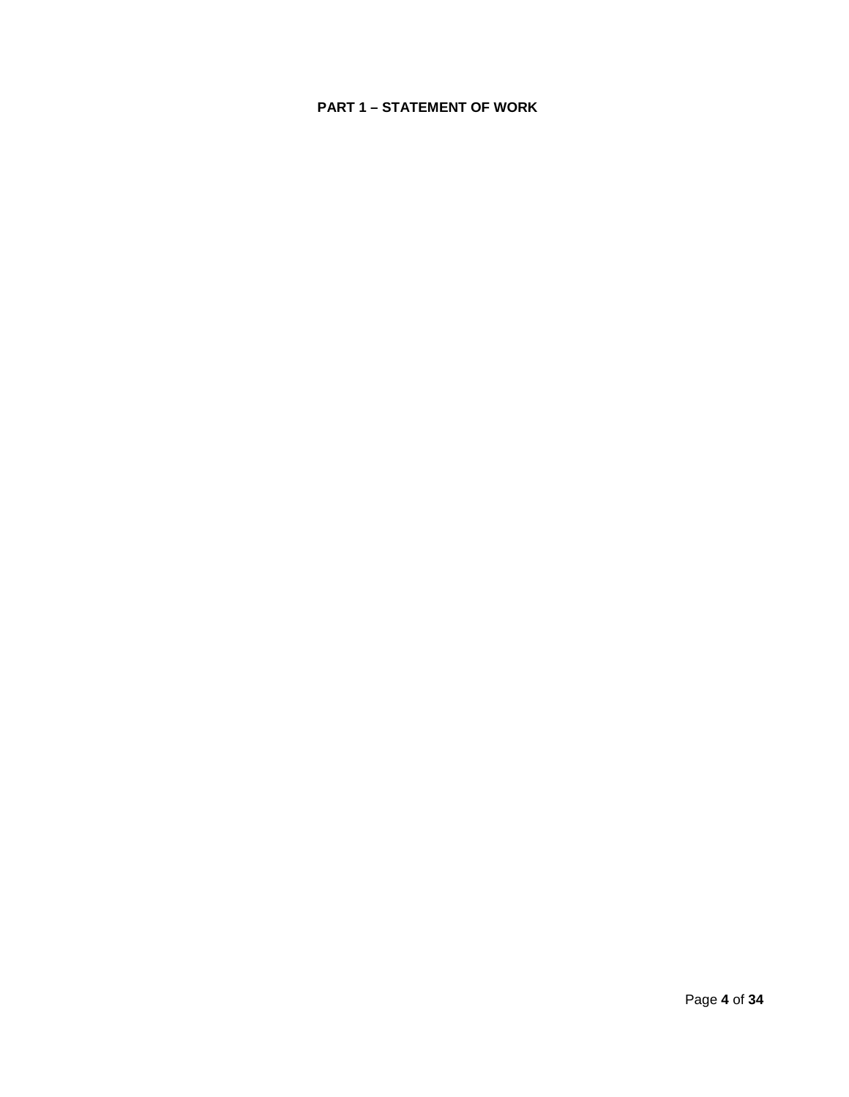# <span id="page-3-0"></span>**PART 1 – STATEMENT OF WORK**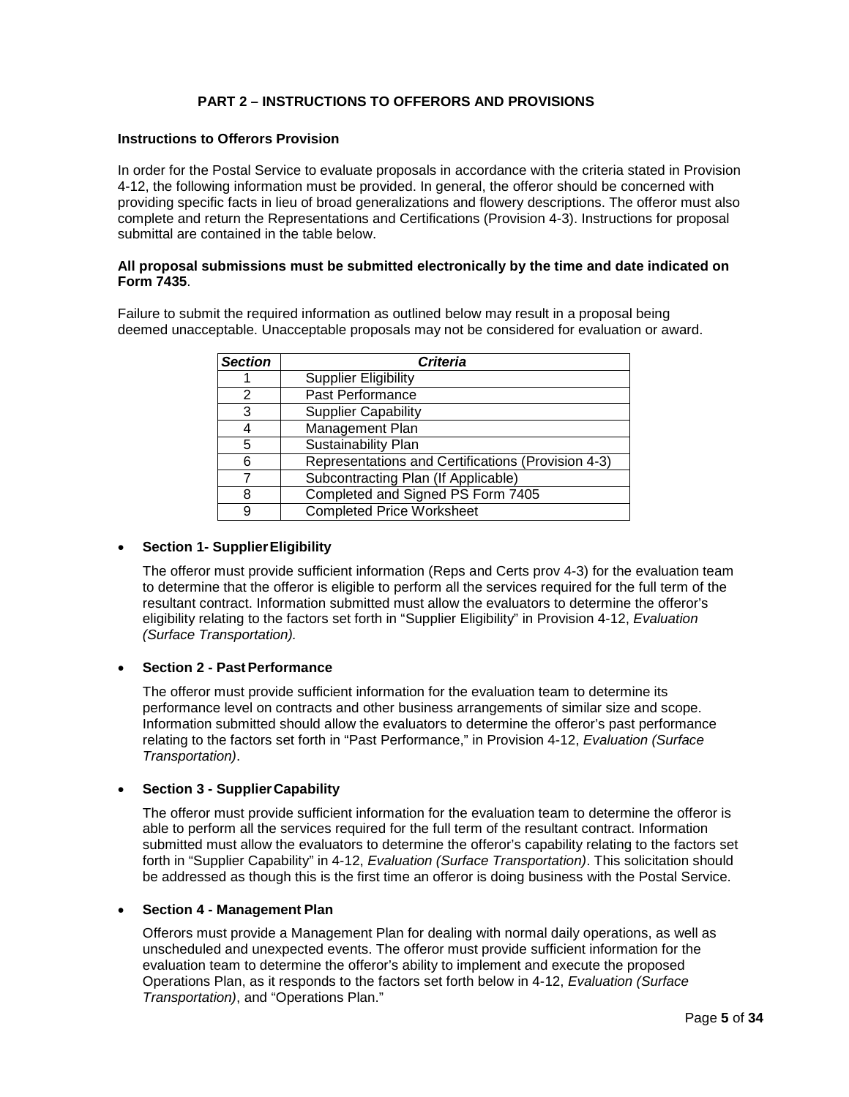# **PART 2 – INSTRUCTIONS TO OFFERORS AND PROVISIONS**

## <span id="page-4-1"></span><span id="page-4-0"></span>**Instructions to Offerors Provision**

In order for the Postal Service to evaluate proposals in accordance with the criteria stated in Provision 4-12, the following information must be provided. In general, the offeror should be concerned with providing specific facts in lieu of broad generalizations and flowery descriptions. The offeror must also complete and return the Representations and Certifications (Provision 4-3). Instructions for proposal submittal are contained in the table below.

### **All proposal submissions must be submitted electronically by the time and date indicated on Form 7435**.

Failure to submit the required information as outlined below may result in a proposal being deemed unacceptable. Unacceptable proposals may not be considered for evaluation or award.

| <b>Section</b> | <b>Criteria</b>                                    |  |
|----------------|----------------------------------------------------|--|
|                | <b>Supplier Eligibility</b>                        |  |
| 2              | Past Performance                                   |  |
| 3              | <b>Supplier Capability</b>                         |  |
|                | Management Plan                                    |  |
| 5              | Sustainability Plan                                |  |
| 6              | Representations and Certifications (Provision 4-3) |  |
|                | Subcontracting Plan (If Applicable)                |  |
| 8              | Completed and Signed PS Form 7405                  |  |
|                | <b>Completed Price Worksheet</b>                   |  |

#### • **Section 1- SupplierEligibility**

The offeror must provide sufficient information (Reps and Certs prov 4-3) for the evaluation team to determine that the offeror is eligible to perform all the services required for the full term of the resultant contract. Information submitted must allow the evaluators to determine the offeror's eligibility relating to the factors set forth in "Supplier Eligibility" in Provision 4-12, *Evaluation (Surface Transportation).*

### **Section 2 - Past Performance**

The offeror must provide sufficient information for the evaluation team to determine its performance level on contracts and other business arrangements of similar size and scope. Information submitted should allow the evaluators to determine the offeror's past performance relating to the factors set forth in "Past Performance," in Provision 4-12, *Evaluation (Surface Transportation)*.

### • **Section 3 - SupplierCapability**

The offeror must provide sufficient information for the evaluation team to determine the offeror is able to perform all the services required for the full term of the resultant contract. Information submitted must allow the evaluators to determine the offeror's capability relating to the factors set forth in "Supplier Capability" in 4-12, *Evaluation (Surface Transportation)*. This solicitation should be addressed as though this is the first time an offeror is doing business with the Postal Service.

#### • **Section 4 - Management Plan**

Offerors must provide a Management Plan for dealing with normal daily operations, as well as unscheduled and unexpected events. The offeror must provide sufficient information for the evaluation team to determine the offeror's ability to implement and execute the proposed Operations Plan, as it responds to the factors set forth below in 4-12, *Evaluation (Surface Transportation)*, and "Operations Plan."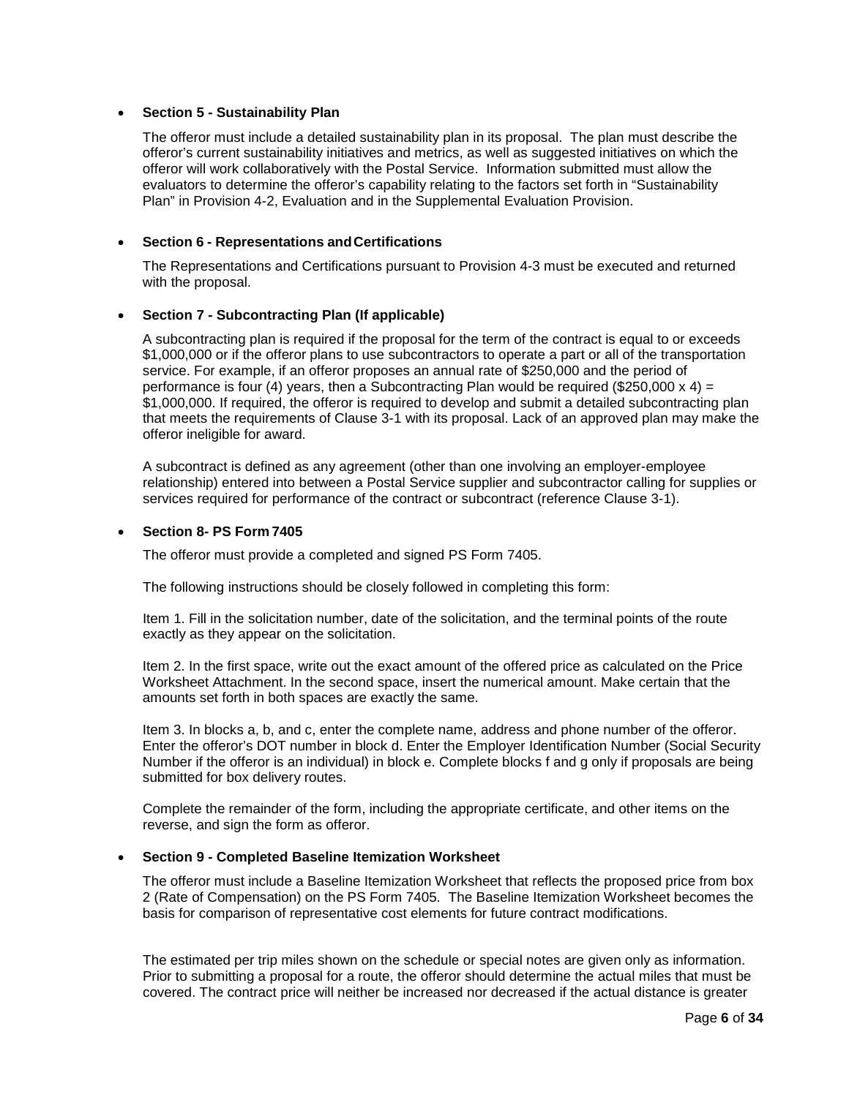### • **Section 5 - Sustainability Plan**

The offeror must include a detailed sustainability plan in its proposal. The plan must describe the offeror's current sustainability initiatives and metrics, as well as suggested initiatives on which the offeror will work collaboratively with the Postal Service. Information submitted must allow the evaluators to determine the offeror's capability relating to the factors set forth in "Sustainability Plan" in Provision 4-2, Evaluation and in the Supplemental Evaluation Provision.

### • **Section 6 - Representations andCertifications**

The Representations and Certifications pursuant to Provision 4-3 must be executed and returned with the proposal.

### • **Section 7 - Subcontracting Plan (If applicable)**

A subcontracting plan is required if the proposal for the term of the contract is equal to or exceeds \$1,000,000 or if the offeror plans to use subcontractors to operate a part or all of the transportation service. For example, if an offeror proposes an annual rate of \$250,000 and the period of performance is four (4) years, then a Subcontracting Plan would be required (\$250,000  $\times$  4) = \$1,000,000. If required, the offeror is required to develop and submit a detailed subcontracting plan that meets the requirements of Clause 3-1 with its proposal. Lack of an approved plan may make the offeror ineligible for award.

A subcontract is defined as any agreement (other than one involving an employer-employee relationship) entered into between a Postal Service supplier and subcontractor calling for supplies or services required for performance of the contract or subcontract (reference Clause 3-1).

#### • **Section 8- PS Form 7405**

The offeror must provide a completed and signed PS Form 7405.

The following instructions should be closely followed in completing this form:

Item 1. Fill in the solicitation number, date of the solicitation, and the terminal points of the route exactly as they appear on the solicitation.

Item 2. In the first space, write out the exact amount of the offered price as calculated on the Price Worksheet Attachment. In the second space, insert the numerical amount. Make certain that the amounts set forth in both spaces are exactly the same.

Item 3. In blocks a, b, and c, enter the complete name, address and phone number of the offeror. Enter the offeror's DOT number in block d. Enter the Employer Identification Number (Social Security Number if the offeror is an individual) in block e. Complete blocks f and g only if proposals are being submitted for box delivery routes.

Complete the remainder of the form, including the appropriate certificate, and other items on the reverse, and sign the form as offeror.

### • **Section 9 - Completed Baseline Itemization Worksheet**

The offeror must include a Baseline Itemization Worksheet that reflects the proposed price from box 2 (Rate of Compensation) on the PS Form 7405. The Baseline Itemization Worksheet becomes the basis for comparison of representative cost elements for future contract modifications.

The estimated per trip miles shown on the schedule or special notes are given only as information. Prior to submitting a proposal for a route, the offeror should determine the actual miles that must be covered. The contract price will neither be increased nor decreased if the actual distance is greater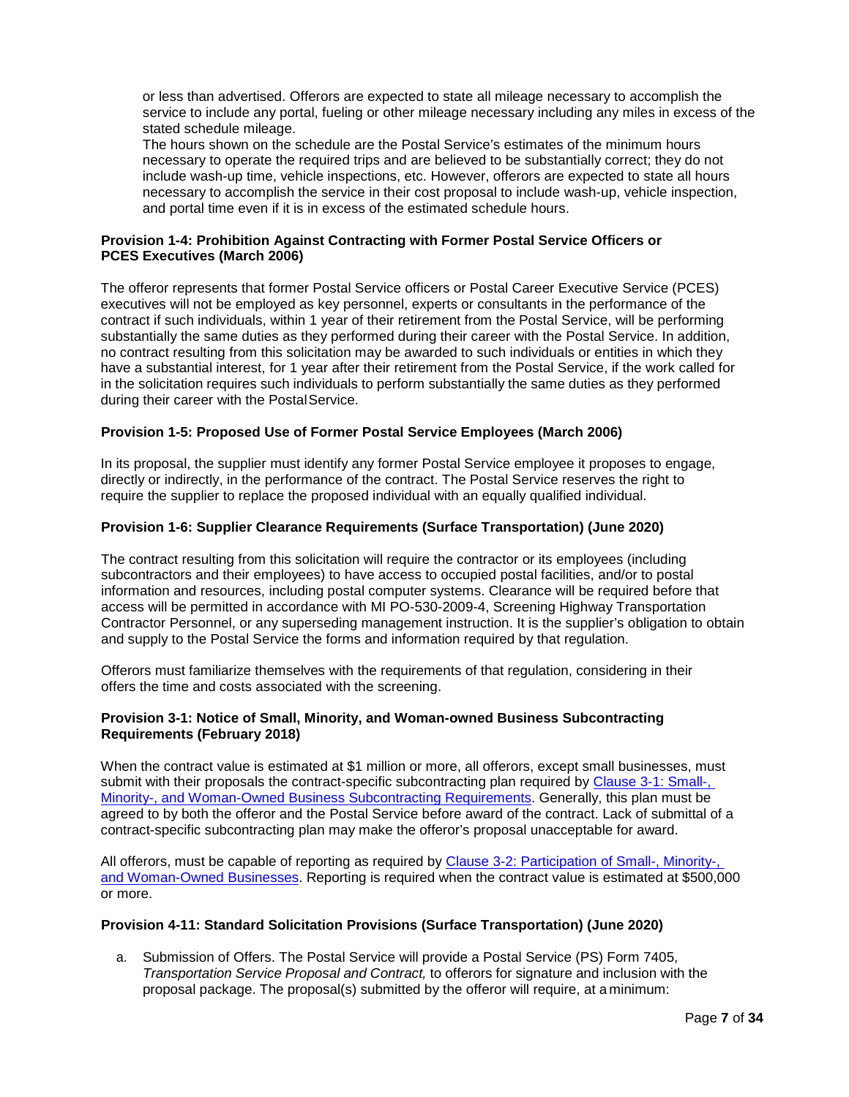or less than advertised. Offerors are expected to state all mileage necessary to accomplish the service to include any portal, fueling or other mileage necessary including any miles in excess of the stated schedule mileage.

The hours shown on the schedule are the Postal Service's estimates of the minimum hours necessary to operate the required trips and are believed to be substantially correct; they do not include wash-up time, vehicle inspections, etc. However, offerors are expected to state all hours necessary to accomplish the service in their cost proposal to include wash-up, vehicle inspection, and portal time even if it is in excess of the estimated schedule hours.

## <span id="page-6-0"></span>**Provision 1-4: Prohibition Against Contracting with Former Postal Service Officers or PCES Executives (March 2006)**

The offeror represents that former Postal Service officers or Postal Career Executive Service (PCES) executives will not be employed as key personnel, experts or consultants in the performance of the contract if such individuals, within 1 year of their retirement from the Postal Service, will be performing substantially the same duties as they performed during their career with the Postal Service. In addition, no contract resulting from this solicitation may be awarded to such individuals or entities in which they have a substantial interest, for 1 year after their retirement from the Postal Service, if the work called for in the solicitation requires such individuals to perform substantially the same duties as they performed during their career with the Postal Service.

# <span id="page-6-1"></span>**Provision 1-5: Proposed Use of Former Postal Service Employees (March 2006)**

In its proposal, the supplier must identify any former Postal Service employee it proposes to engage, directly or indirectly, in the performance of the contract. The Postal Service reserves the right to require the supplier to replace the proposed individual with an equally qualified individual.

### <span id="page-6-2"></span>**Provision 1-6: Supplier Clearance Requirements (Surface Transportation) (June 2020)**

The contract resulting from this solicitation will require the contractor or its employees (including subcontractors and their employees) to have access to occupied postal facilities, and/or to postal information and resources, including postal computer systems. Clearance will be required before that access will be permitted in accordance with MI PO-530-2009-4, Screening Highway Transportation Contractor Personnel, or any superseding management instruction. It is the supplier's obligation to obtain and supply to the Postal Service the forms and information required by that regulation.

Offerors must familiarize themselves with the requirements of that regulation, considering in their offers the time and costs associated with the screening.

### <span id="page-6-3"></span>**Provision 3-1: Notice of Small, Minority, and Woman-owned Business Subcontracting Requirements (February 2018)**

When the contract value is estimated at \$1 million or more, all offerors, except small businesses, must submit with their proposals the contract-specific subcontracting plan required by [Clause 3-1: Small-,](https://about.usps.com/manuals/spp/html/spp10.htm#ep857611) [Minority-, and Woman-Owned Business Subcontracting Requirements.](https://about.usps.com/manuals/spp/html/spp10.htm#ep857611) Generally, this plan must be agreed to by both the offeror and the Postal Service before award of the contract. Lack of submittal of a contract-specific subcontracting plan may make the offeror's proposal unacceptable for award.

All offerors, must be capable of reporting as required by [Clause 3-2: Participation of Small-, Minority-,](https://about.usps.com/manuals/spp/html/spp10.htm#ep1121848)  [and](https://about.usps.com/manuals/spp/html/spp10.htm#ep1121848) [Woman-Owned Businesses.](https://about.usps.com/manuals/spp/html/spp10.htm#ep1121848) Reporting is required when the contract value is estimated at \$500,000 or more.

### <span id="page-6-4"></span>**Provision 4-11: Standard Solicitation Provisions (Surface Transportation) (June 2020)**

a. Submission of Offers. The Postal Service will provide a Postal Service (PS) Form 7405, *Transportation Service Proposal and Contract,* to offerors for signature and inclusion with the proposal package. The proposal(s) submitted by the offeror will require, at a minimum: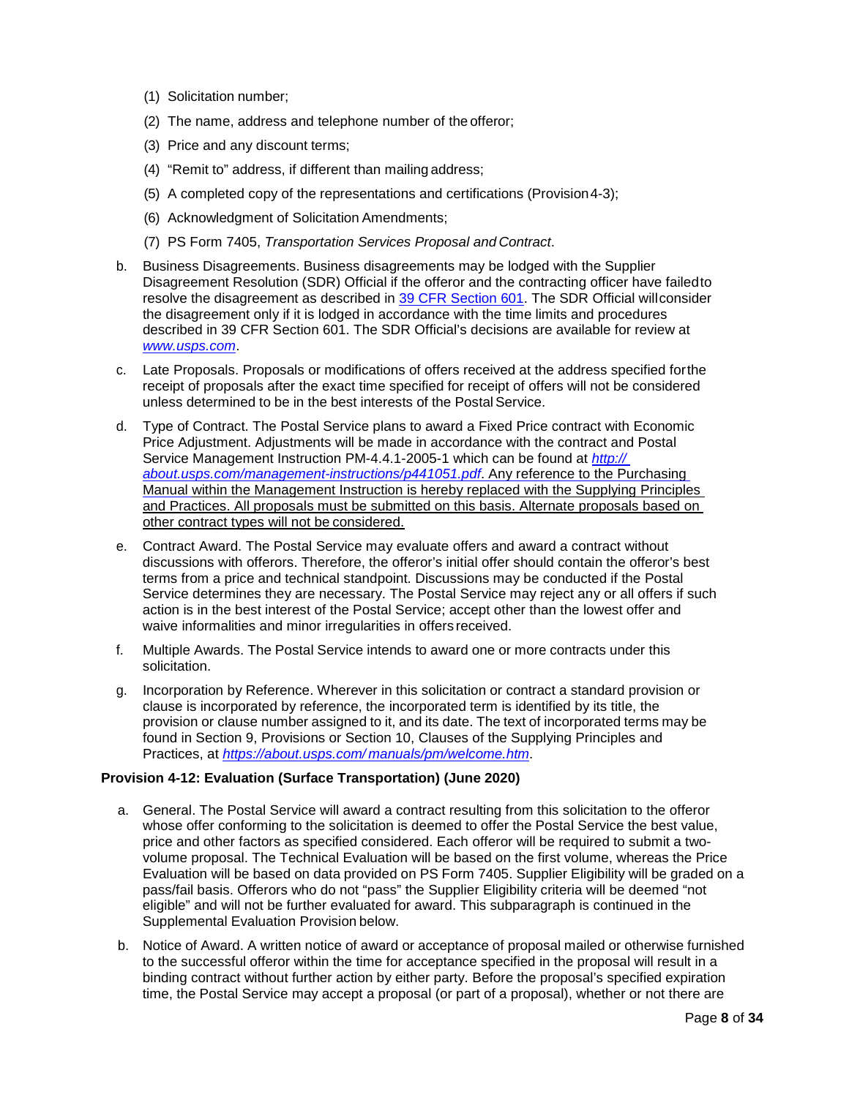- (1) Solicitation number;
- (2) The name, address and telephone number of the offeror;
- (3) Price and any discount terms;
- (4) "Remit to" address, if different than mailing address;
- (5) A completed copy of the representations and certifications (Provision4-3);
- (6) Acknowledgment of Solicitation Amendments;
- (7) PS Form 7405, *Transportation Services Proposal and Contract*.
- b. Business Disagreements. Business disagreements may be lodged with the Supplier Disagreement Resolution (SDR) Official if the offeror and the contracting officer have failedto resolve the disagreement as described in [39 CFR Section 601.](https://www.ecfr.gov/cgi-bin/text-idx?SID=8eadf93a14082ea3ad2132fa52a4e103&amp%3Bmc=true&amp%3Bnode=pt39.1.601&amp%3Brgn=div5) The SDR Official willconsider the disagreement only if it is lodged in accordance with the time limits and procedures described in 39 CFR Section 601. The SDR Official's decisions are available for review at *[www.usps.com](http://www.usps.com/)*.
- c. Late Proposals. Proposals or modifications of offers received at the address specified forthe receipt of proposals after the exact time specified for receipt of offers will not be considered unless determined to be in the best interests of the Postal Service.
- d. Type of Contract. The Postal Service plans to award a Fixed Price contract with Economic Price Adjustment. Adjustments will be made in accordance with the contract and Postal Service Management Instruction PM-4.4.1-2005-1 which can be found at *[http://](http://about.usps.com/management-instructions/p441051.pdf)  [about.usps.com/management-instructions/p441051.pdf](http://about.usps.com/management-instructions/p441051.pdf)*. Any reference to the Purchasing Manual within the Management Instruction is hereby replaced with the Supplying Principles and Practices. All proposals must be submitted on this basis. Alternate proposals based on other contract types will not be considered.
- e. Contract Award. The Postal Service may evaluate offers and award a contract without discussions with offerors. Therefore, the offeror's initial offer should contain the offeror's best terms from a price and technical standpoint. Discussions may be conducted if the Postal Service determines they are necessary. The Postal Service may reject any or all offers if such action is in the best interest of the Postal Service; accept other than the lowest offer and waive informalities and minor irregularities in offers received.
- f. Multiple Awards. The Postal Service intends to award one or more contracts under this solicitation.
- g. Incorporation by Reference. Wherever in this solicitation or contract a standard provision or clause is incorporated by reference, the incorporated term is identified by its title, the provision or clause number assigned to it, and its date. The text of incorporated terms may be found in Section 9, Provisions or Section 10, Clauses of the Supplying Principles and Practices, at *[https://about.usps.com/](https://about.usps.com/manuals/pm/welcome.htm) [manuals/pm/welcome.htm](https://about.usps.com/manuals/pm/welcome.htm)*.

### <span id="page-7-0"></span>**Provision 4-12: Evaluation (Surface Transportation) (June 2020)**

- a. General. The Postal Service will award a contract resulting from this solicitation to the offeror whose offer conforming to the solicitation is deemed to offer the Postal Service the best value, price and other factors as specified considered. Each offeror will be required to submit a twovolume proposal. The Technical Evaluation will be based on the first volume, whereas the Price Evaluation will be based on data provided on PS Form 7405. Supplier Eligibility will be graded on a pass/fail basis. Offerors who do not "pass" the Supplier Eligibility criteria will be deemed "not eligible" and will not be further evaluated for award. This subparagraph is continued in the Supplemental Evaluation Provision below.
- b. Notice of Award. A written notice of award or acceptance of proposal mailed or otherwise furnished to the successful offeror within the time for acceptance specified in the proposal will result in a binding contract without further action by either party. Before the proposal's specified expiration time, the Postal Service may accept a proposal (or part of a proposal), whether or not there are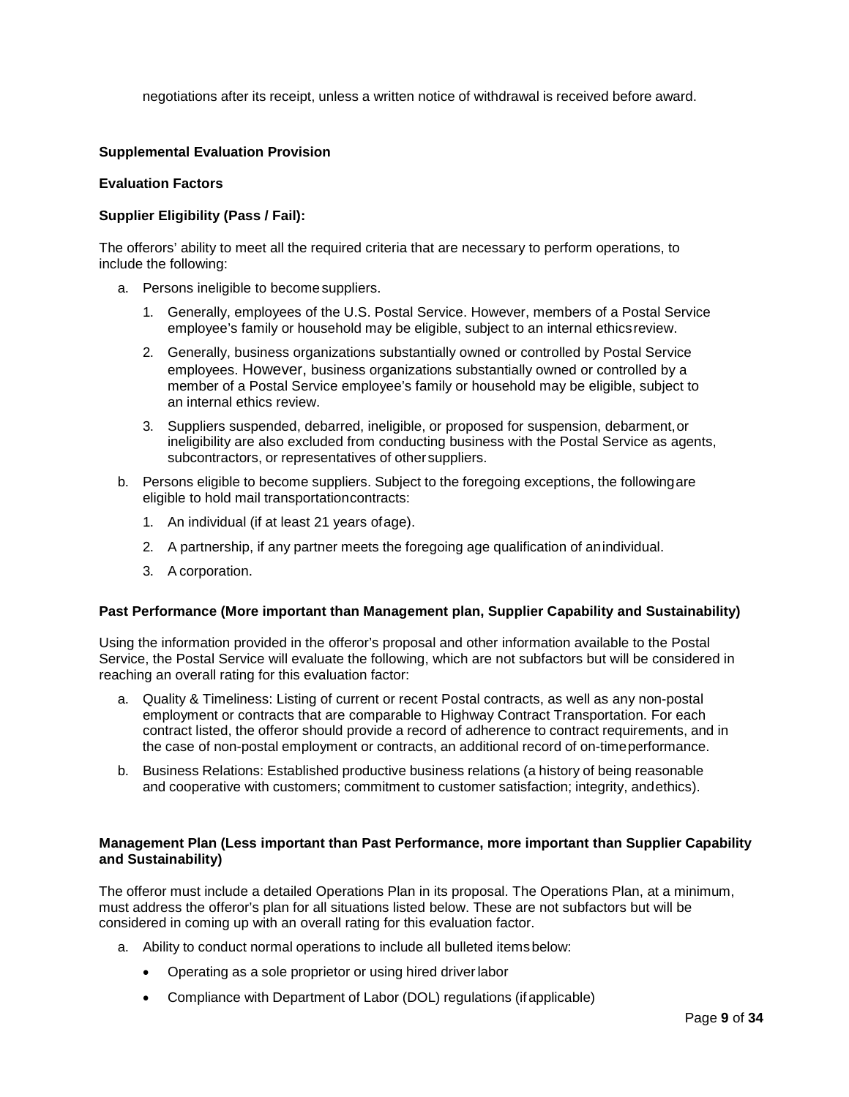negotiations after its receipt, unless a written notice of withdrawal is received before award.

# <span id="page-8-0"></span>**Supplemental Evaluation Provision**

### **Evaluation Factors**

### **Supplier Eligibility (Pass / Fail):**

The offerors' ability to meet all the required criteria that are necessary to perform operations, to include the following:

- a. Persons ineligible to becomesuppliers.
	- 1. Generally, employees of the U.S. Postal Service. However, members of a Postal Service employee's family or household may be eligible, subject to an internal ethicsreview.
	- 2. Generally, business organizations substantially owned or controlled by Postal Service employees. However, business organizations substantially owned or controlled by a member of a Postal Service employee's family or household may be eligible, subject to an internal ethics review.
	- 3. Suppliers suspended, debarred, ineligible, or proposed for suspension, debarment,or ineligibility are also excluded from conducting business with the Postal Service as agents, subcontractors, or representatives of othersuppliers.
- b. Persons eligible to become suppliers. Subject to the foregoing exceptions, the followingare eligible to hold mail transportationcontracts:
	- 1. An individual (if at least 21 years ofage).
	- 2. A partnership, if any partner meets the foregoing age qualification of anindividual.
	- 3. A corporation.

### **Past Performance (More important than Management plan, Supplier Capability and Sustainability)**

Using the information provided in the offeror's proposal and other information available to the Postal Service, the Postal Service will evaluate the following, which are not subfactors but will be considered in reaching an overall rating for this evaluation factor:

- a. Quality & Timeliness: Listing of current or recent Postal contracts, as well as any non-postal employment or contracts that are comparable to Highway Contract Transportation. For each contract listed, the offeror should provide a record of adherence to contract requirements, and in the case of non-postal employment or contracts, an additional record of on-timeperformance.
- b. Business Relations: Established productive business relations (a history of being reasonable and cooperative with customers; commitment to customer satisfaction; integrity, andethics).

### **Management Plan (Less important than Past Performance, more important than Supplier Capability and Sustainability)**

The offeror must include a detailed Operations Plan in its proposal. The Operations Plan, at a minimum, must address the offeror's plan for all situations listed below. These are not subfactors but will be considered in coming up with an overall rating for this evaluation factor.

- a. Ability to conduct normal operations to include all bulleted itemsbelow:
	- Operating as a sole proprietor or using hired driverlabor
	- Compliance with Department of Labor (DOL) regulations (ifapplicable)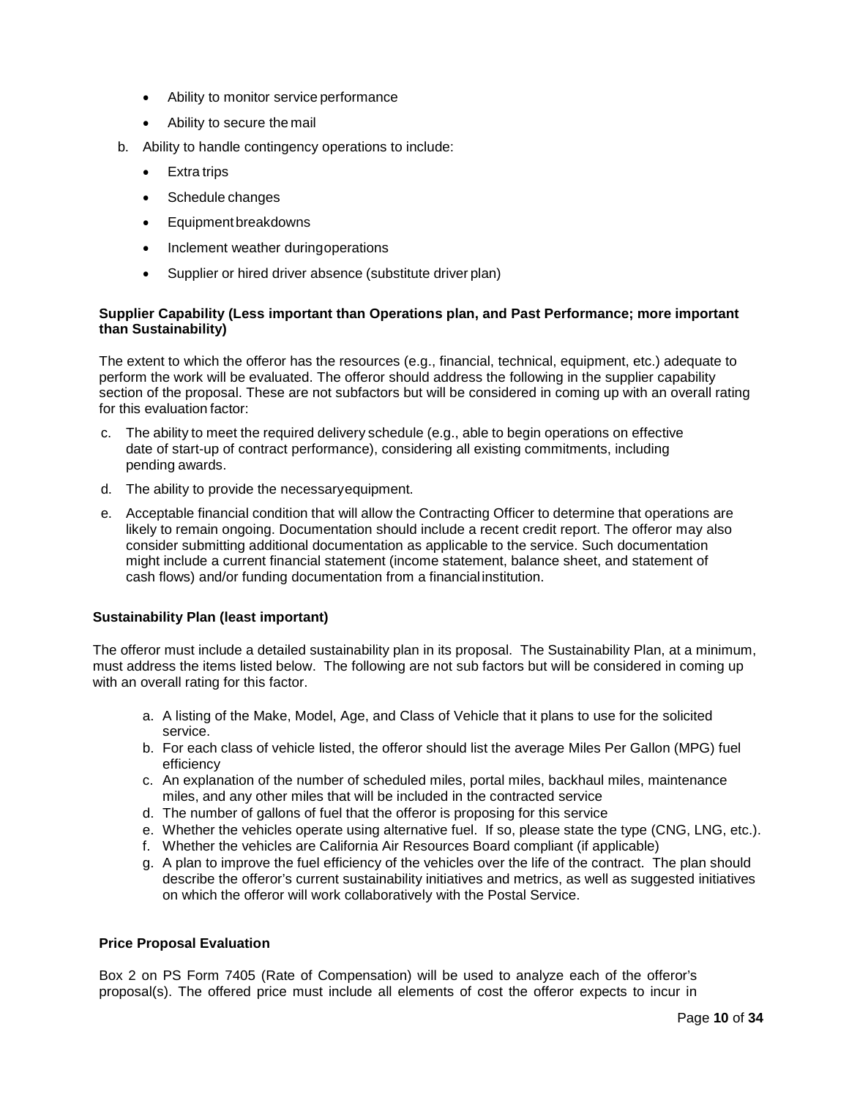- Ability to monitor service performance
- Ability to secure the mail
- b. Ability to handle contingency operations to include:
	- Extra trips
	- Schedule changes
	- Equipmentbreakdowns
	- Inclement weather duringoperations
	- Supplier or hired driver absence (substitute driver plan)

## **Supplier Capability (Less important than Operations plan, and Past Performance; more important than Sustainability)**

The extent to which the offeror has the resources (e.g., financial, technical, equipment, etc.) adequate to perform the work will be evaluated. The offeror should address the following in the supplier capability section of the proposal. These are not subfactors but will be considered in coming up with an overall rating for this evaluation factor:

- c. The ability to meet the required delivery schedule (e.g., able to begin operations on effective date of start-up of contract performance), considering all existing commitments, including pending awards.
- d. The ability to provide the necessaryequipment.
- e. Acceptable financial condition that will allow the Contracting Officer to determine that operations are likely to remain ongoing. Documentation should include a recent credit report. The offeror may also consider submitting additional documentation as applicable to the service. Such documentation might include a current financial statement (income statement, balance sheet, and statement of cash flows) and/or funding documentation from a financial institution.

### **Sustainability Plan (least important)**

The offeror must include a detailed sustainability plan in its proposal. The Sustainability Plan, at a minimum, must address the items listed below. The following are not sub factors but will be considered in coming up with an overall rating for this factor.

- a. A listing of the Make, Model, Age, and Class of Vehicle that it plans to use for the solicited service.
- b. For each class of vehicle listed, the offeror should list the average Miles Per Gallon (MPG) fuel efficiency
- c. An explanation of the number of scheduled miles, portal miles, backhaul miles, maintenance miles, and any other miles that will be included in the contracted service
- d. The number of gallons of fuel that the offeror is proposing for this service
- e. Whether the vehicles operate using alternative fuel. If so, please state the type (CNG, LNG, etc.).
- f. Whether the vehicles are California Air Resources Board compliant (if applicable)
- g. A plan to improve the fuel efficiency of the vehicles over the life of the contract. The plan should describe the offeror's current sustainability initiatives and metrics, as well as suggested initiatives on which the offeror will work collaboratively with the Postal Service.

#### **Price Proposal Evaluation**

Box 2 on PS Form 7405 (Rate of Compensation) will be used to analyze each of the offeror's proposal(s). The offered price must include all elements of cost the offeror expects to incur in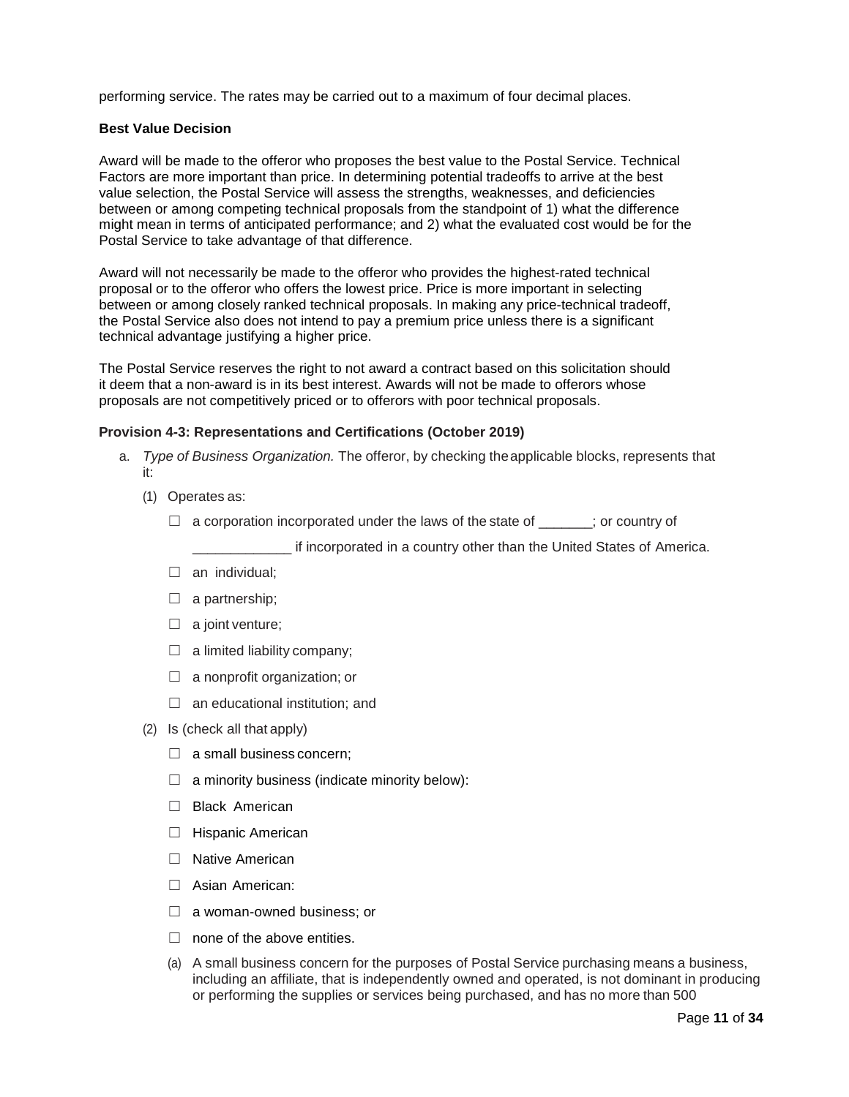performing service. The rates may be carried out to a maximum of four decimal places.

#### **Best Value Decision**

Award will be made to the offeror who proposes the best value to the Postal Service. Technical Factors are more important than price. In determining potential tradeoffs to arrive at the best value selection, the Postal Service will assess the strengths, weaknesses, and deficiencies between or among competing technical proposals from the standpoint of 1) what the difference might mean in terms of anticipated performance; and 2) what the evaluated cost would be for the Postal Service to take advantage of that difference.

Award will not necessarily be made to the offeror who provides the highest-rated technical proposal or to the offeror who offers the lowest price. Price is more important in selecting between or among closely ranked technical proposals. In making any price-technical tradeoff, the Postal Service also does not intend to pay a premium price unless there is a significant technical advantage justifying a higher price.

The Postal Service reserves the right to not award a contract based on this solicitation should it deem that a non-award is in its best interest. Awards will not be made to offerors whose proposals are not competitively priced or to offerors with poor technical proposals.

#### <span id="page-10-0"></span>**Provision 4-3: Representations and Certifications (October 2019)**

- a. *Type of Business Organization.* The offeror, by checking theapplicable blocks, represents that it:
	- (1) Operates as:
		- $\Box$  a corporation incorporated under the laws of the state of  $\Box$ ; or country of

\_\_\_\_\_\_\_\_\_\_\_\_\_ if incorporated in a country other than the United States of America.

- $\Box$  an individual;
- $\Box$  a partnership;
- $\Box$  a joint venture;
- $\Box$  a limited liability company;
- $\Box$  a nonprofit organization; or
- $\Box$  an educational institution; and
- (2) Is (check all that apply)
	- $\Box$  a small business concern;
	- $\Box$  a minority business (indicate minority below):
	- □ Black American
	- ☐ Hispanic American
	- □ Native American
	- □ Asian American:
	- $\Box$  a woman-owned business; or
	- $\Box$  none of the above entities.
	- (a) A small business concern for the purposes of Postal Service purchasing means a business, including an affiliate, that is independently owned and operated, is not dominant in producing or performing the supplies or services being purchased, and has no more than 500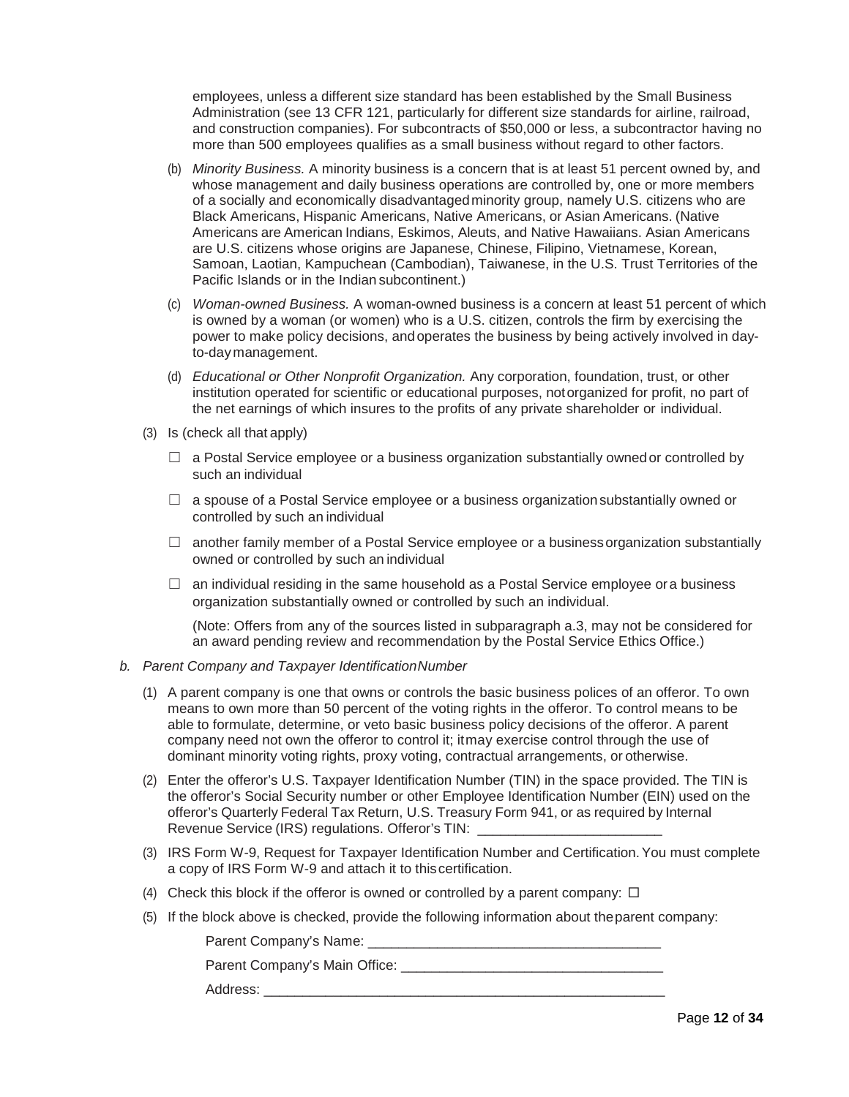employees, unless a different size standard has been established by the Small Business Administration (see 13 CFR 121, particularly for different size standards for airline, railroad, and construction companies). For subcontracts of \$50,000 or less, a subcontractor having no more than 500 employees qualifies as a small business without regard to other factors.

- (b) *Minority Business.* A minority business is a concern that is at least 51 percent owned by, and whose management and daily business operations are controlled by, one or more members of a socially and economically disadvantagedminority group, namely U.S. citizens who are Black Americans, Hispanic Americans, Native Americans, or Asian Americans. (Native Americans are American Indians, Eskimos, Aleuts, and Native Hawaiians. Asian Americans are U.S. citizens whose origins are Japanese, Chinese, Filipino, Vietnamese, Korean, Samoan, Laotian, Kampuchean (Cambodian), Taiwanese, in the U.S. Trust Territories of the Pacific Islands or in the Indian subcontinent.)
- (c) *Woman-owned Business.* A woman-owned business is a concern at least 51 percent of which is owned by a woman (or women) who is a U.S. citizen, controls the firm by exercising the power to make policy decisions, andoperates the business by being actively involved in dayto-daymanagement.
- (d) *Educational or Other Nonprofit Organization.* Any corporation, foundation, trust, or other institution operated for scientific or educational purposes, notorganized for profit, no part of the net earnings of which insures to the profits of any private shareholder or individual.
- (3) Is (check all that apply)
	- $\Box$  a Postal Service employee or a business organization substantially owned or controlled by such an individual
	- $\Box$  a spouse of a Postal Service employee or a business organization substantially owned or controlled by such an individual
	- $\Box$  another family member of a Postal Service employee or a business organization substantially owned or controlled by such an individual
	- $\Box$  an individual residing in the same household as a Postal Service employee ora business organization substantially owned or controlled by such an individual.

(Note: Offers from any of the sources listed in subparagraph a.3, may not be considered for an award pending review and recommendation by the Postal Service Ethics Office.)

### *b. Parent Company and Taxpayer IdentificationNumber*

- (1) A parent company is one that owns or controls the basic business polices of an offeror. To own means to own more than 50 percent of the voting rights in the offeror. To control means to be able to formulate, determine, or veto basic business policy decisions of the offeror. A parent company need not own the offeror to control it; itmay exercise control through the use of dominant minority voting rights, proxy voting, contractual arrangements, or otherwise.
- (2) Enter the offeror's U.S. Taxpayer Identification Number (TIN) in the space provided. The TIN is the offeror's Social Security number or other Employee Identification Number (EIN) used on the offeror's Quarterly Federal Tax Return, U.S. Treasury Form 941, or as required by Internal Revenue Service (IRS) regulations. Offeror's TIN:
- (3) IRS Form W-9, Request for Taxpayer Identification Number and Certification.You must complete a copy of IRS Form W-9 and attach it to thiscertification.
- (4) Check this block if the offeror is owned or controlled by a parent company:  $\Box$
- (5) If the block above is checked, provide the following information about theparent company:

Parent Company's Name: \_\_\_\_\_\_\_\_\_\_\_\_\_\_\_\_\_\_\_\_\_\_\_\_\_\_\_\_\_\_\_\_\_\_\_\_\_\_

Parent Company's Main Office: **Example 20** 

Address: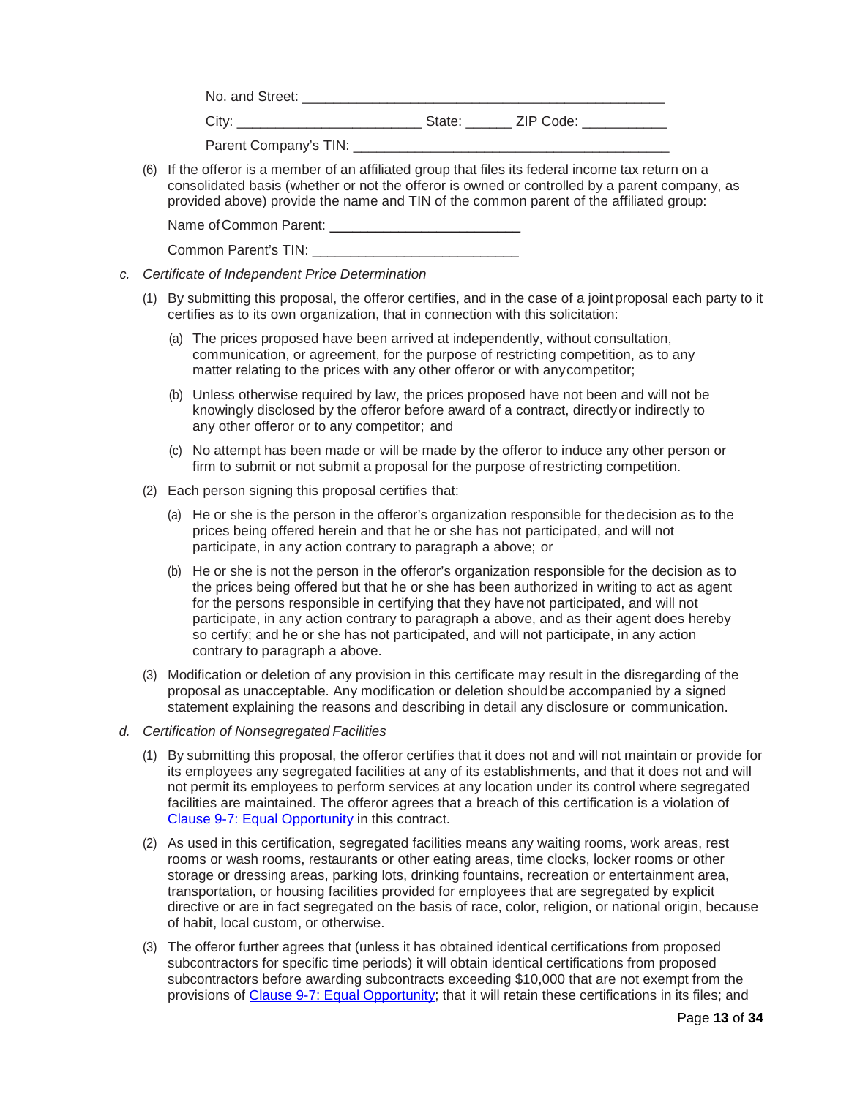No. and Street: \_\_\_\_\_\_\_\_\_\_\_\_\_\_\_\_\_\_\_\_\_\_\_\_\_\_\_\_\_\_\_\_\_\_\_\_\_\_\_\_\_\_\_\_\_\_\_

City: \_\_\_\_\_\_\_\_\_\_\_\_\_\_\_\_\_\_\_\_\_\_\_\_ State: \_\_\_\_\_\_ ZIP Code: \_\_\_\_\_\_\_\_\_\_\_

| Parent Company's TIN: |  |
|-----------------------|--|
|                       |  |

(6) If the offeror is a member of an affiliated group that files its federal income tax return on a consolidated basis (whether or not the offeror is owned or controlled by a parent company, as provided above) provide the name and TIN of the common parent of the affiliated group:

Name of Common Parent:

| Common Parent's TIN: |
|----------------------|
|----------------------|

- *c. Certificate of Independent Price Determination*
	- (1) By submitting this proposal, the offeror certifies, and in the case of a jointproposal each party to it certifies as to its own organization, that in connection with this solicitation:
		- (a) The prices proposed have been arrived at independently, without consultation, communication, or agreement, for the purpose of restricting competition, as to any matter relating to the prices with any other offeror or with anycompetitor;
		- (b) Unless otherwise required by law, the prices proposed have not been and will not be knowingly disclosed by the offeror before award of a contract, directlyor indirectly to any other offeror or to any competitor; and
		- (c) No attempt has been made or will be made by the offeror to induce any other person or firm to submit or not submit a proposal for the purpose ofrestricting competition.
	- (2) Each person signing this proposal certifies that:
		- (a) He or she is the person in the offeror's organization responsible for thedecision as to the prices being offered herein and that he or she has not participated, and will not participate, in any action contrary to paragraph a above; or
		- (b) He or she is not the person in the offeror's organization responsible for the decision as to the prices being offered but that he or she has been authorized in writing to act as agent for the persons responsible in certifying that they havenot participated, and will not participate, in any action contrary to paragraph a above, and as their agent does hereby so certify; and he or she has not participated, and will not participate, in any action contrary to paragraph a above.
	- (3) Modification or deletion of any provision in this certificate may result in the disregarding of the proposal as unacceptable. Any modification or deletion shouldbe accompanied by a signed statement explaining the reasons and describing in detail any disclosure or communication.
- *d. Certification of Nonsegregated Facilities*
	- (1) By submitting this proposal, the offeror certifies that it does not and will not maintain or provide for its employees any segregated facilities at any of its establishments, and that it does not and will not permit its employees to perform services at any location under its control where segregated facilities are maintained. The offeror agrees that a breach of this certification is a violation of [Clause 9-7: Equal Opportunity in](https://about.usps.com/manuals/spp/html/spp10.htm#ep859006) this contract.
	- (2) As used in this certification, segregated facilities means any waiting rooms, work areas, rest rooms or wash rooms, restaurants or other eating areas, time clocks, locker rooms or other storage or dressing areas, parking lots, drinking fountains, recreation or entertainment area, transportation, or housing facilities provided for employees that are segregated by explicit directive or are in fact segregated on the basis of race, color, religion, or national origin, because of habit, local custom, or otherwise.
	- (3) The offeror further agrees that (unless it has obtained identical certifications from proposed subcontractors for specific time periods) it will obtain identical certifications from proposed subcontractors before awarding subcontracts exceeding \$10,000 that are not exempt from the provisions of [Clause 9-7: Equal Opportunity;](https://about.usps.com/manuals/spp/html/spp10.htm#ep859006) that it will retain these certifications in its files; and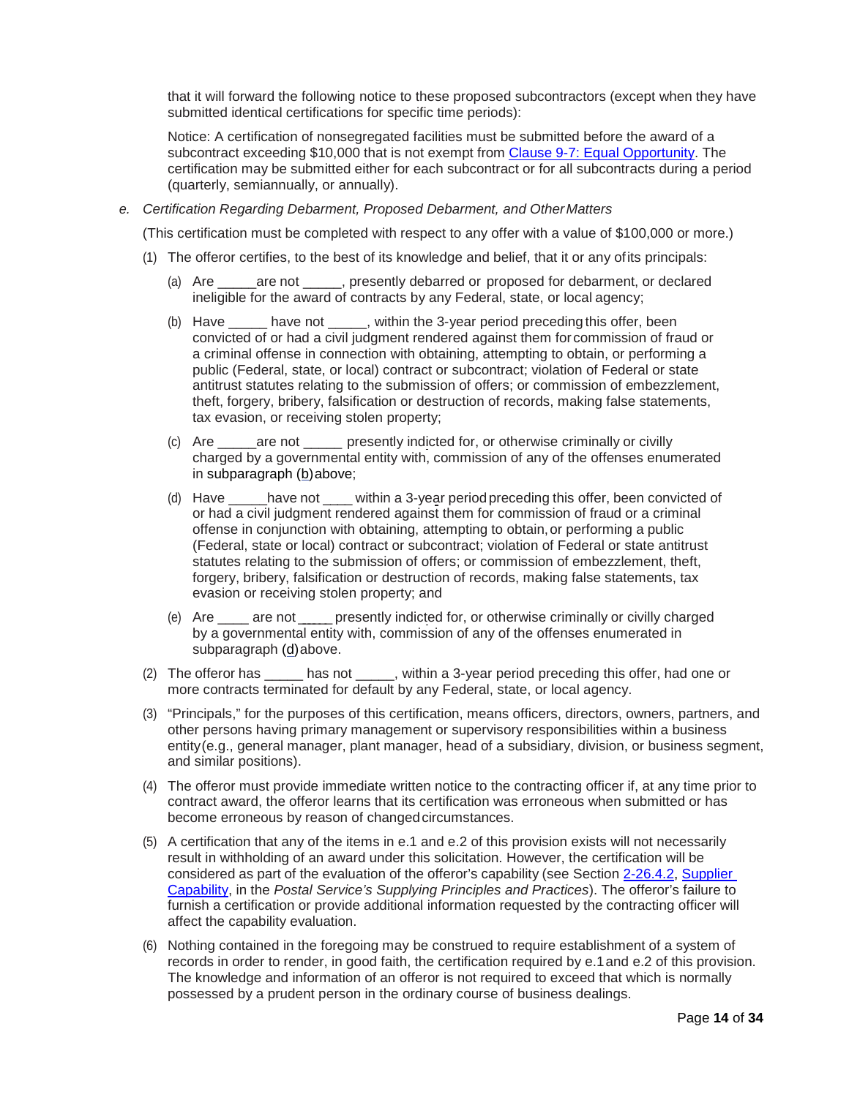that it will forward the following notice to these proposed subcontractors (except when they have submitted identical certifications for specific time periods):

Notice: A certification of nonsegregated facilities must be submitted before the award of a subcontract exceeding \$10,000 that is not exempt from [Clause 9-7: Equal Opportunity.](https://about.usps.com/manuals/spp/html/spp10.htm#ep859006) The certification may be submitted either for each subcontract or for all subcontracts during a period (quarterly, semiannually, or annually).

#### *e. Certification Regarding Debarment, Proposed Debarment, and OtherMatters*

(This certification must be completed with respect to any offer with a value of \$100,000 or more.)

- (1) The offeror certifies, to the best of its knowledge and belief, that it or any ofits principals:
	- (a) Are \_\_\_\_\_are not \_\_\_\_\_, presently debarred or proposed for debarment, or declared ineligible for the award of contracts by any Federal, state, or local agency;
	- (b) Have have not , within the 3-year period preceding this offer, been convicted of or had a civil judgment rendered against them for commission of fraud or a criminal offense in connection with obtaining, attempting to obtain, or performing a public (Federal, state, or local) contract or subcontract; violation of Federal or state antitrust statutes relating to the submission of offers; or commission of embezzlement, theft, forgery, bribery, falsification or destruction of records, making false statements, tax evasion, or receiving stolen property;
	- (c) Are are not corresently indicted for, or otherwise criminally or civilly charged by a governmental entity with, commission of any of the offenses enumerated in subparagraph (b)above;
	- (d) Have \_\_\_\_\_have not \_\_\_\_ within a 3-year periodpreceding this offer, been convicted of or had a civil judgment rendered against them for commission of fraud or a criminal offense in conjunction with obtaining, attempting to obtain,or performing a public (Federal, state or local) contract or subcontract; violation of Federal or state antitrust statutes relating to the submission of offers; or commission of embezzlement, theft, forgery, bribery, falsification or destruction of records, making false statements, tax evasion or receiving stolen property; and
	- (e) Are \_\_\_\_ are not \_\_\_\_ \_ \_ presently indicted for, or otherwise criminally or civilly charged by a governmental entity with, commission of any of the offenses enumerated in subparagraph (d)above.
- (2) The offeror has \_\_\_\_\_ has not \_\_\_\_\_, within a 3-year period preceding this offer, had one or more contracts terminated for default by any Federal, state, or local agency.
- (3) "Principals," for the purposes of this certification, means officers, directors, owners, partners, and other persons having primary management or supervisory responsibilities within a business entity(e.g., general manager, plant manager, head of a subsidiary, division, or business segment, and similar positions).
- (4) The offeror must provide immediate written notice to the contracting officer if, at any time prior to contract award, the offeror learns that its certification was erroneous when submitted or has become erroneous by reason of changed circumstances.
- (5) A certification that any of the items in e.1 and e.2 of this provision exists will not necessarily result in withholding of an award under this solicitation. However, the certification will be considered as part of the evaluation of the offeror's capability (see Section [2-26.4.2,](https://about.usps.com/manuals/spp/html/spp2_203.htm#ep1033252) [Supplier](https://about.usps.com/manuals/spp/html/spp2_203.htm#ep1033252)  [Capability,](https://about.usps.com/manuals/spp/html/spp2_203.htm#ep1033252) in the *Postal Service's Supplying Principles and Practices*). The offeror's failure to furnish a certification or provide additional information requested by the contracting officer will affect the capability evaluation.
- (6) Nothing contained in the foregoing may be construed to require establishment of a system of records in order to render, in good faith, the certification required by e.1and e.2 of this provision. The knowledge and information of an offeror is not required to exceed that which is normally possessed by a prudent person in the ordinary course of business dealings.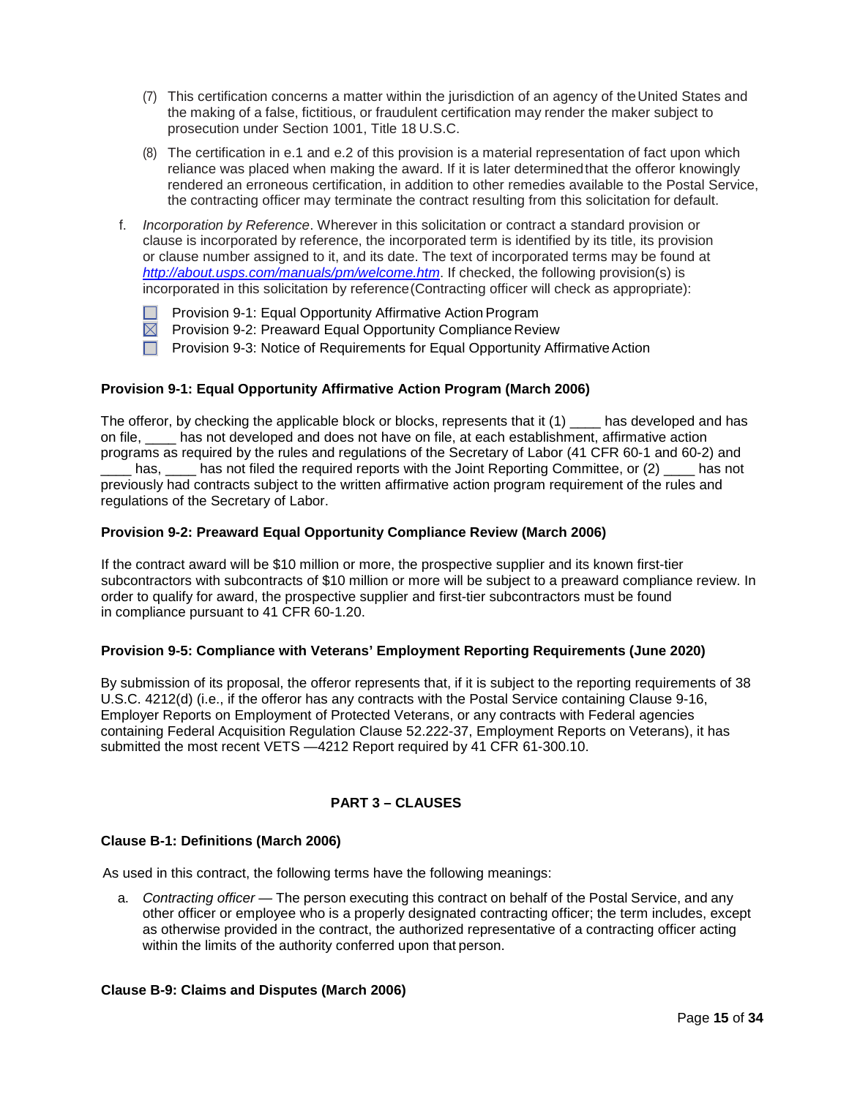- (7) This certification concerns a matter within the jurisdiction of an agency of theUnited States and the making of a false, fictitious, or fraudulent certification may render the maker subject to prosecution under Section 1001, Title 18 U.S.C.
- (8) The certification in e.1 and e.2 of this provision is a material representation of fact upon which reliance was placed when making the award. If it is later determinedthat the offeror knowingly rendered an erroneous certification, in addition to other remedies available to the Postal Service, the contracting officer may terminate the contract resulting from this solicitation for default.
- f. *Incorporation by Reference*. Wherever in this solicitation or contract a standard provision or clause is incorporated by reference, the incorporated term is identified by its title, its provision or clause number assigned to it, and its date. The text of incorporated terms may be found at *<http://about.usps.com/manuals/pm/welcome.htm>*. If checked, the following provision(s) is incorporated in this solicitation by reference(Contracting officer will check as appropriate):
	- Provision 9-1: Equal Opportunity Affirmative Action Program
	- $\boxtimes$  Provision 9-2: Preaward Equal Opportunity Compliance Review
	- **Provision 9-3: Notice of Requirements for Equal Opportunity Affirmative Action**

# <span id="page-14-0"></span>**Provision 9-1: Equal Opportunity Affirmative Action Program (March 2006)**

The offeror, by checking the applicable block or blocks, represents that it  $(1)$  has developed and has on file, \_\_\_\_ has not developed and does not have on file, at each establishment, affirmative action programs as required by the rules and regulations of the Secretary of Labor (41 CFR 60-1 and 60-2) and has, has not filed the required reports with the Joint Reporting Committee, or (2) has not previously had contracts subject to the written affirmative action program requirement of the rules and regulations of the Secretary of Labor.

# <span id="page-14-1"></span>**Provision 9-2: Preaward Equal Opportunity Compliance Review (March 2006)**

If the contract award will be \$10 million or more, the prospective supplier and its known first-tier subcontractors with subcontracts of \$10 million or more will be subject to a preaward compliance review. In order to qualify for award, the prospective supplier and first-tier subcontractors must be found in compliance pursuant to 41 CFR 60-1.20.

### <span id="page-14-2"></span>**Provision 9-5: Compliance with Veterans' Employment Reporting Requirements (June 2020)**

By submission of its proposal, the offeror represents that, if it is subject to the reporting requirements of 38 U.S.C. 4212(d) (i.e., if the offeror has any contracts with the Postal Service containing Clause 9-16, Employer Reports on Employment of Protected Veterans, or any contracts with Federal agencies containing Federal Acquisition Regulation Clause 52.222-37, Employment Reports on Veterans), it has submitted the most recent VETS —4212 Report required by 41 CFR 61-300.10.

# **PART 3 – CLAUSES**

### <span id="page-14-4"></span><span id="page-14-3"></span>**Clause B-1: Definitions (March 2006)**

As used in this contract, the following terms have the following meanings:

a. *Contracting officer —* The person executing this contract on behalf of the Postal Service, and any other officer or employee who is a properly designated contracting officer; the term includes, except as otherwise provided in the contract, the authorized representative of a contracting officer acting within the limits of the authority conferred upon that person.

#### <span id="page-14-5"></span>**Clause B-9: Claims and Disputes (March 2006)**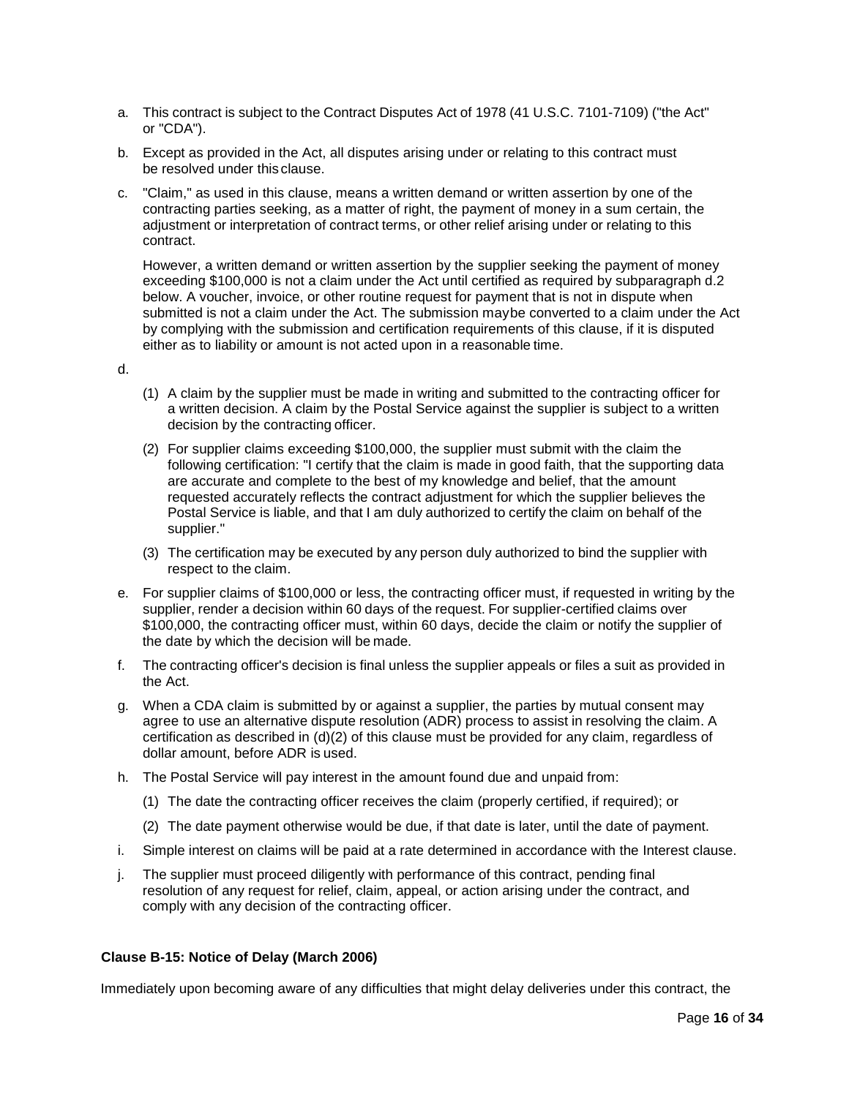- a. This contract is subject to the Contract Disputes Act of 1978 (41 U.S.C. 7101-7109) ("the Act" or "CDA").
- b. Except as provided in the Act, all disputes arising under or relating to this contract must be resolved under this clause.
- c. "Claim," as used in this clause, means a written demand or written assertion by one of the contracting parties seeking, as a matter of right, the payment of money in a sum certain, the adjustment or interpretation of contract terms, or other relief arising under or relating to this contract.

However, a written demand or written assertion by the supplier seeking the payment of money exceeding \$100,000 is not a claim under the Act until certified as required by subparagraph d.2 below. A voucher, invoice, or other routine request for payment that is not in dispute when submitted is not a claim under the Act. The submission maybe converted to a claim under the Act by complying with the submission and certification requirements of this clause, if it is disputed either as to liability or amount is not acted upon in a reasonable time.

- d.
- (1) A claim by the supplier must be made in writing and submitted to the contracting officer for a written decision. A claim by the Postal Service against the supplier is subject to a written decision by the contracting officer.
- (2) For supplier claims exceeding \$100,000, the supplier must submit with the claim the following certification: "I certify that the claim is made in good faith, that the supporting data are accurate and complete to the best of my knowledge and belief, that the amount requested accurately reflects the contract adjustment for which the supplier believes the Postal Service is liable, and that I am duly authorized to certify the claim on behalf of the supplier."
- (3) The certification may be executed by any person duly authorized to bind the supplier with respect to the claim.
- e. For supplier claims of \$100,000 or less, the contracting officer must, if requested in writing by the supplier, render a decision within 60 days of the request. For supplier-certified claims over \$100,000, the contracting officer must, within 60 days, decide the claim or notify the supplier of the date by which the decision will be made.
- f. The contracting officer's decision is final unless the supplier appeals or files a suit as provided in the Act.
- g. When a CDA claim is submitted by or against a supplier, the parties by mutual consent may agree to use an alternative dispute resolution (ADR) process to assist in resolving the claim. A certification as described in (d)(2) of this clause must be provided for any claim, regardless of dollar amount, before ADR is used.
- h. The Postal Service will pay interest in the amount found due and unpaid from:
	- (1) The date the contracting officer receives the claim (properly certified, if required); or
	- (2) The date payment otherwise would be due, if that date is later, until the date of payment.
- i. Simple interest on claims will be paid at a rate determined in accordance with the Interest clause.
- j. The supplier must proceed diligently with performance of this contract, pending final resolution of any request for relief, claim, appeal, or action arising under the contract, and comply with any decision of the contracting officer.

### <span id="page-15-0"></span>**[Clause B-15: Notice of Delay \(March 2006\)](http://blue.usps.gov/policy/clauses/clauses.htm)**

Immediately upon becoming aware of any difficulties that might delay deliveries under this contract, the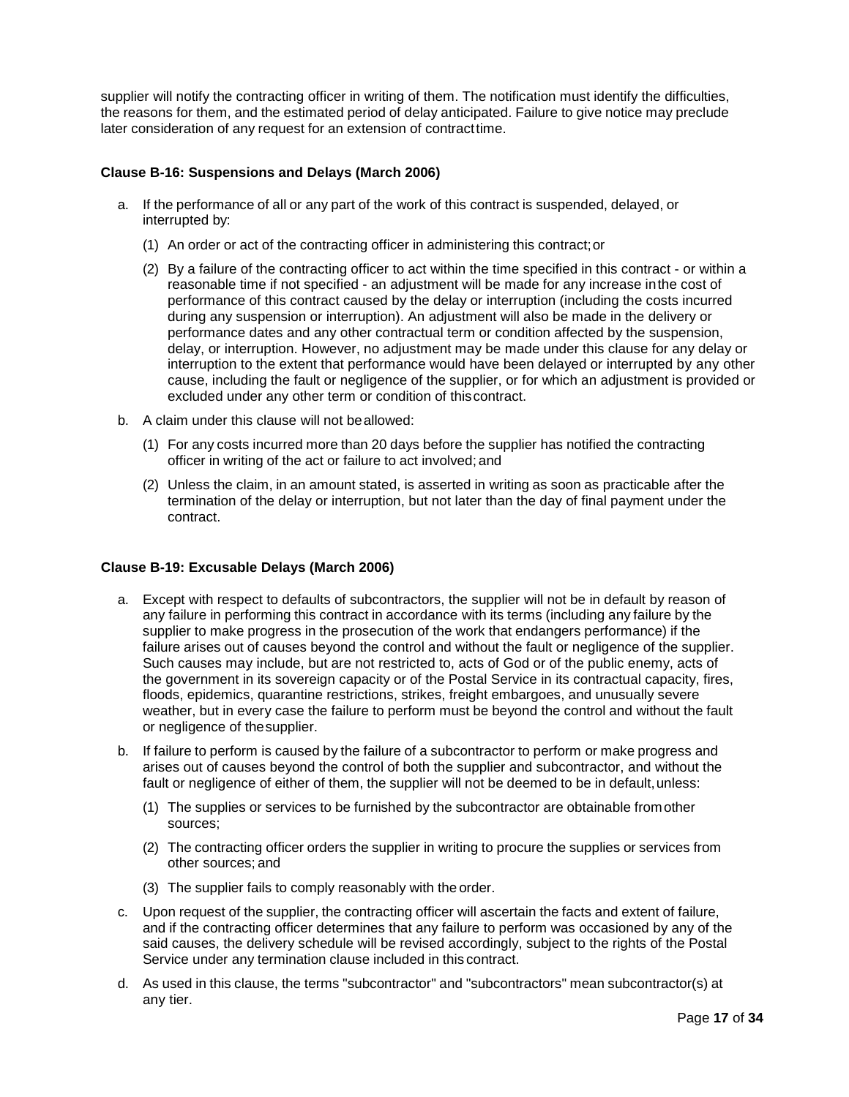supplier will notify the contracting officer in writing of them. The notification must identify the difficulties, the reasons for them, and the estimated period of delay anticipated. Failure to give notice may preclude later consideration of any request for an extension of contracttime.

## <span id="page-16-0"></span>**Clause B-16: Suspensions and Delays (March 2006)**

- a. If the performance of all or any part of the work of this contract is suspended, delayed, or interrupted by:
	- (1) An order or act of the contracting officer in administering this contract;or
	- (2) By a failure of the contracting officer to act within the time specified in this contract or within a reasonable time if not specified - an adjustment will be made for any increase inthe cost of performance of this contract caused by the delay or interruption (including the costs incurred during any suspension or interruption). An adjustment will also be made in the delivery or performance dates and any other contractual term or condition affected by the suspension, delay, or interruption. However, no adjustment may be made under this clause for any delay or interruption to the extent that performance would have been delayed or interrupted by any other cause, including the fault or negligence of the supplier, or for which an adjustment is provided or excluded under any other term or condition of thiscontract.
- b. A claim under this clause will not beallowed:
	- (1) For any costs incurred more than 20 days before the supplier has notified the contracting officer in writing of the act or failure to act involved; and
	- (2) Unless the claim, in an amount stated, is asserted in writing as soon as practicable after the termination of the delay or interruption, but not later than the day of final payment under the contract.

### <span id="page-16-1"></span>**Clause B-19: Excusable Delays (March 2006)**

- a. Except with respect to defaults of subcontractors, the supplier will not be in default by reason of any failure in performing this contract in accordance with its terms (including any failure by the supplier to make progress in the prosecution of the work that endangers performance) if the failure arises out of causes beyond the control and without the fault or negligence of the supplier. Such causes may include, but are not restricted to, acts of God or of the public enemy, acts of the government in its sovereign capacity or of the Postal Service in its contractual capacity, fires, floods, epidemics, quarantine restrictions, strikes, freight embargoes, and unusually severe weather, but in every case the failure to perform must be beyond the control and without the fault or negligence of thesupplier.
- b. If failure to perform is caused by the failure of a subcontractor to perform or make progress and arises out of causes beyond the control of both the supplier and subcontractor, and without the fault or negligence of either of them, the supplier will not be deemed to be in default, unless:
	- (1) The supplies or services to be furnished by the subcontractor are obtainable fromother sources;
	- (2) The contracting officer orders the supplier in writing to procure the supplies or services from other sources; and
	- (3) The supplier fails to comply reasonably with the order.
- c. Upon request of the supplier, the contracting officer will ascertain the facts and extent of failure, and if the contracting officer determines that any failure to perform was occasioned by any of the said causes, the delivery schedule will be revised accordingly, subject to the rights of the Postal Service under any termination clause included in this contract.
- d. As used in this clause, the terms "subcontractor" and "subcontractors" mean subcontractor(s) at any tier.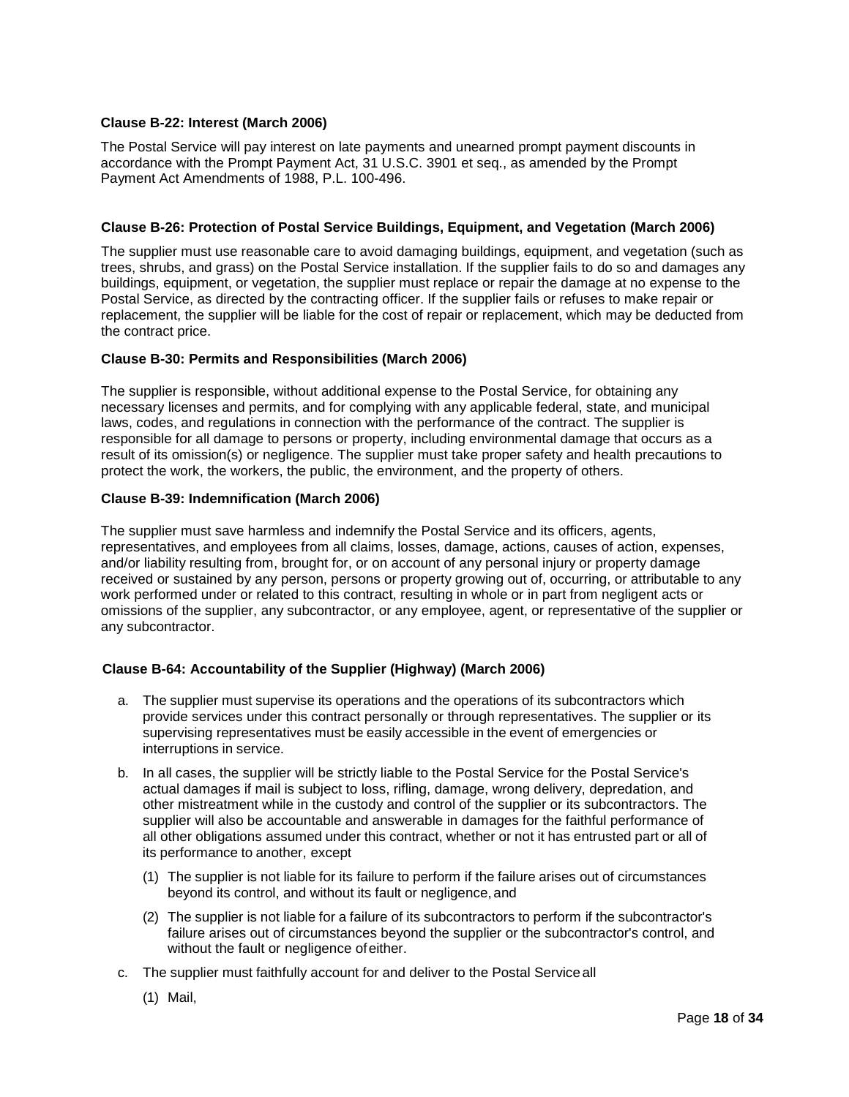# <span id="page-17-0"></span>**Clause B-22: Interest (March 2006)**

The Postal Service will pay interest on late payments and unearned prompt payment discounts in accordance with the Prompt Payment Act, 31 U.S.C. 3901 et seq., as amended by the Prompt Payment Act Amendments of 1988, P.L. 100-496.

### <span id="page-17-1"></span>**Clause B-26: Protection of Postal Service Buildings, Equipment, and Vegetation (March 2006)**

The supplier must use reasonable care to avoid damaging buildings, equipment, and vegetation (such as trees, shrubs, and grass) on the Postal Service installation. If the supplier fails to do so and damages any buildings, equipment, or vegetation, the supplier must replace or repair the damage at no expense to the Postal Service, as directed by the contracting officer. If the supplier fails or refuses to make repair or replacement, the supplier will be liable for the cost of repair or replacement, which may be deducted from the contract price.

# <span id="page-17-2"></span>**Clause B-30: Permits and Responsibilities (March 2006)**

The supplier is responsible, without additional expense to the Postal Service, for obtaining any necessary licenses and permits, and for complying with any applicable federal, state, and municipal laws, codes, and regulations in connection with the performance of the contract. The supplier is responsible for all damage to persons or property, including environmental damage that occurs as a result of its omission(s) or negligence. The supplier must take proper safety and health precautions to protect the work, the workers, the public, the environment, and the property of others.

# <span id="page-17-3"></span>**[Clause B-39: Indemnification \(March 2006\)](http://blue.usps.gov/policy/clauses/clauses.htm)**

The supplier must save harmless and indemnify the Postal Service and its officers, agents, representatives, and employees from all claims, losses, damage, actions, causes of action, expenses, and/or liability resulting from, brought for, or on account of any personal injury or property damage received or sustained by any person, persons or property growing out of, occurring, or attributable to any work performed under or related to this contract, resulting in whole or in part from negligent acts or omissions of the supplier, any subcontractor, or any employee, agent, or representative of the supplier or any subcontractor.

# <span id="page-17-4"></span>**Clause B-64: Accountability of the Supplier (Highway) (March 2006)**

- a. The supplier must supervise its operations and the operations of its subcontractors which provide services under this contract personally or through representatives. The supplier or its supervising representatives must be easily accessible in the event of emergencies or interruptions in service.
- b. In all cases, the supplier will be strictly liable to the Postal Service for the Postal Service's actual damages if mail is subject to loss, rifling, damage, wrong delivery, depredation, and other mistreatment while in the custody and control of the supplier or its subcontractors. The supplier will also be accountable and answerable in damages for the faithful performance of all other obligations assumed under this contract, whether or not it has entrusted part or all of its performance to another, except
	- (1) The supplier is not liable for its failure to perform if the failure arises out of circumstances beyond its control, and without its fault or negligence,and
	- (2) The supplier is not liable for a failure of its subcontractors to perform if the subcontractor's failure arises out of circumstances beyond the supplier or the subcontractor's control, and without the fault or negligence ofeither.
- c. The supplier must faithfully account for and deliver to the Postal Serviceall
	- (1) Mail,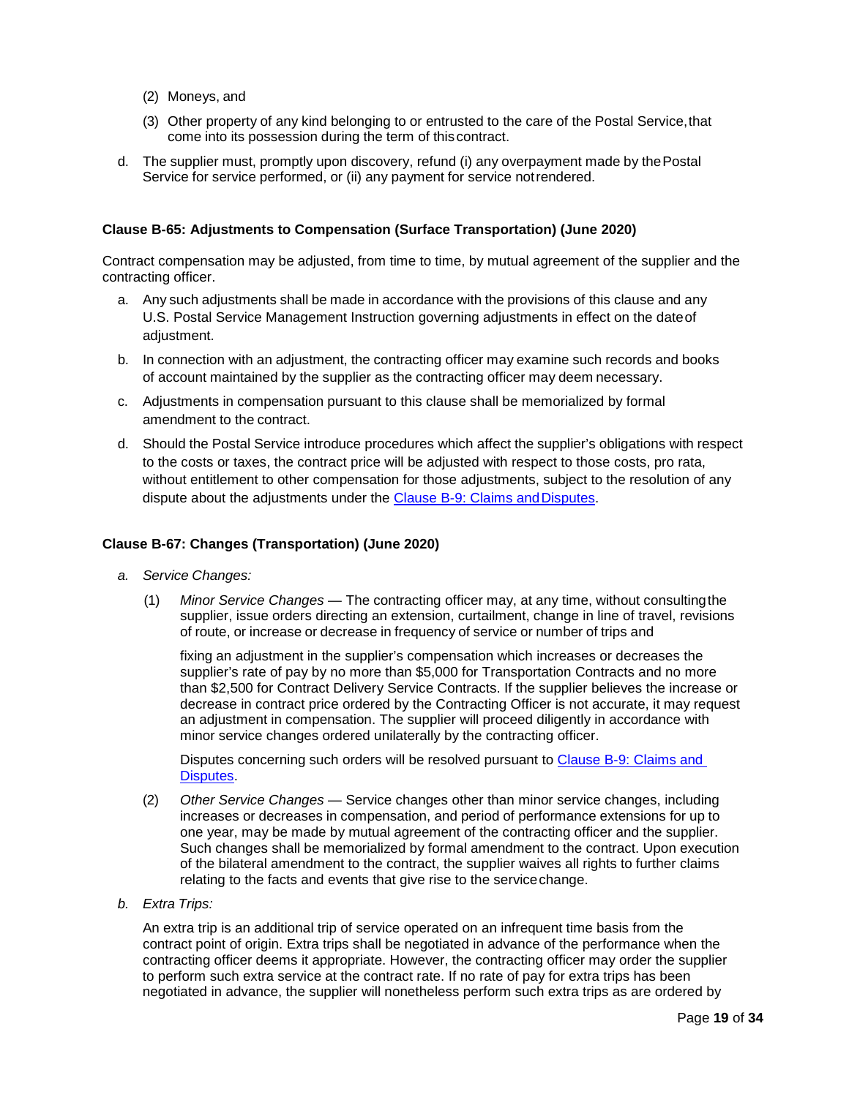- (2) Moneys, and
- (3) Other property of any kind belonging to or entrusted to the care of the Postal Service,that come into its possession during the term of this contract.
- d. The supplier must, promptly upon discovery, refund (i) any overpayment made by the Postal Service for service performed, or (ii) any payment for service notrendered.

## <span id="page-18-0"></span>**Clause B-65: Adjustments to Compensation (Surface Transportation) (June 2020)**

Contract compensation may be adjusted, from time to time, by mutual agreement of the supplier and the contracting officer.

- a. Any such adjustments shall be made in accordance with the provisions of this clause and any U.S. Postal Service Management Instruction governing adjustments in effect on the dateof adjustment.
- b. In connection with an adjustment, the contracting officer may examine such records and books of account maintained by the supplier as the contracting officer may deem necessary.
- c. Adjustments in compensation pursuant to this clause shall be memorialized by formal amendment to the contract.
- d. Should the Postal Service introduce procedures which affect the supplier's obligations with respect to the costs or taxes, the contract price will be adjusted with respect to those costs, pro rata, without entitlement to other compensation for those adjustments, subject to the resolution of any dispute about the adjustments under the Clause B-9: Claims andDisputes.

#### <span id="page-18-1"></span>**Clause B-67: Changes (Transportation) (June 2020)**

- *a. Service Changes:*
	- (1) *Minor Service Changes*  The contracting officer may, at any time, without consultingthe supplier, issue orders directing an extension, curtailment, change in line of travel, revisions of route, or increase or decrease in frequency of service or number of trips and

fixing an adjustment in the supplier's compensation which increases or decreases the supplier's rate of pay by no more than \$5,000 for Transportation Contracts and no more than \$2,500 for Contract Delivery Service Contracts. If the supplier believes the increase or decrease in contract price ordered by the Contracting Officer is not accurate, it may request an adjustment in compensation. The supplier will proceed diligently in accordance with minor service changes ordered unilaterally by the contracting officer.

Disputes concerning such orders will be resolved pursuant to Clause B-9: Claims and Disputes.

- (2) *Other Service Changes*  Service changes other than minor service changes, including increases or decreases in compensation, and period of performance extensions for up to one year, may be made by mutual agreement of the contracting officer and the supplier. Such changes shall be memorialized by formal amendment to the contract. Upon execution of the bilateral amendment to the contract, the supplier waives all rights to further claims relating to the facts and events that give rise to the servicechange.
- *b. Extra Trips:*

An extra trip is an additional trip of service operated on an infrequent time basis from the contract point of origin. Extra trips shall be negotiated in advance of the performance when the contracting officer deems it appropriate. However, the contracting officer may order the supplier to perform such extra service at the contract rate. If no rate of pay for extra trips has been negotiated in advance, the supplier will nonetheless perform such extra trips as are ordered by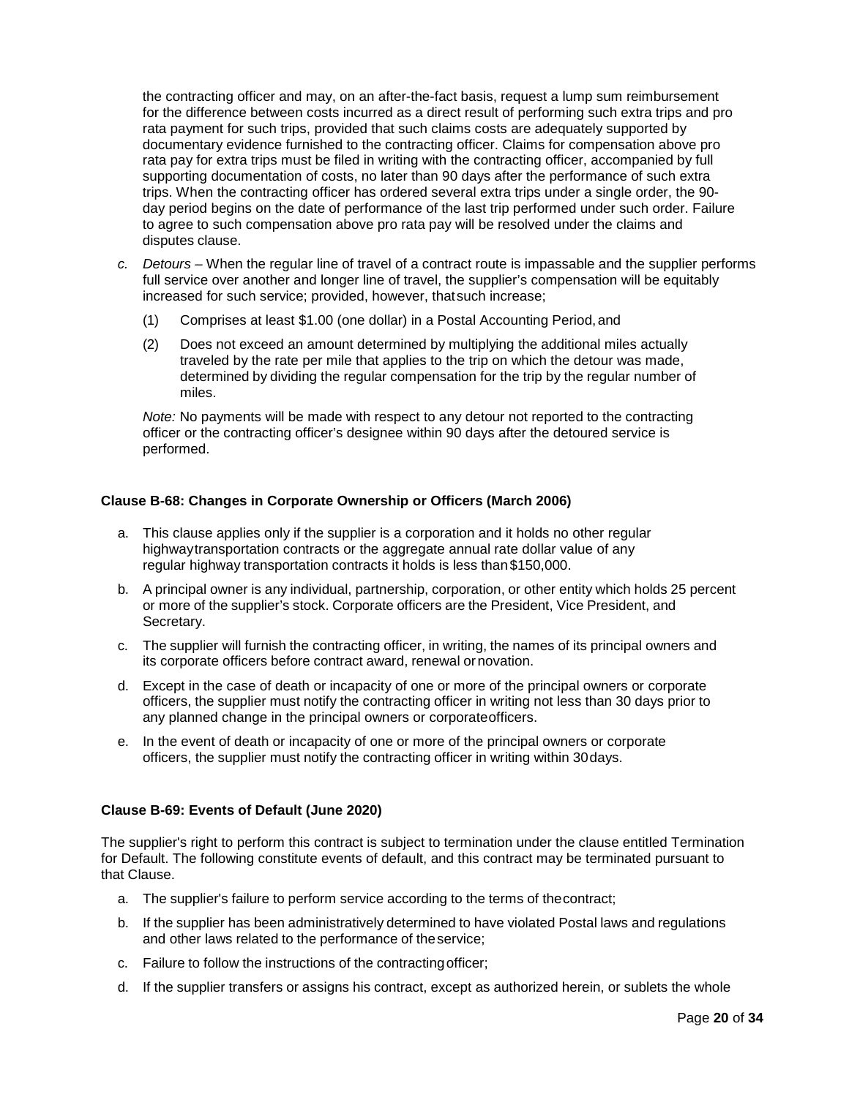the contracting officer and may, on an after-the-fact basis, request a lump sum reimbursement for the difference between costs incurred as a direct result of performing such extra trips and pro rata payment for such trips, provided that such claims costs are adequately supported by documentary evidence furnished to the contracting officer. Claims for compensation above pro rata pay for extra trips must be filed in writing with the contracting officer, accompanied by full supporting documentation of costs, no later than 90 days after the performance of such extra trips. When the contracting officer has ordered several extra trips under a single order, the 90 day period begins on the date of performance of the last trip performed under such order. Failure to agree to such compensation above pro rata pay will be resolved under the claims and disputes clause.

- *c. Detours –* When the regular line of travel of a contract route is impassable and the supplier performs full service over another and longer line of travel, the supplier's compensation will be equitably increased for such service; provided, however, thatsuch increase;
	- (1) Comprises at least \$1.00 (one dollar) in a Postal Accounting Period,and
	- (2) Does not exceed an amount determined by multiplying the additional miles actually traveled by the rate per mile that applies to the trip on which the detour was made, determined by dividing the regular compensation for the trip by the regular number of miles.

*Note:* No payments will be made with respect to any detour not reported to the contracting officer or the contracting officer's designee within 90 days after the detoured service is performed.

# <span id="page-19-0"></span>**Clause B-68: Changes in Corporate Ownership or Officers (March 2006)**

- a. This clause applies only if the supplier is a corporation and it holds no other regular highwaytransportation contracts or the aggregate annual rate dollar value of any regular highway transportation contracts it holds is less than\$150,000.
- b. A principal owner is any individual, partnership, corporation, or other entity which holds 25 percent or more of the supplier's stock. Corporate officers are the President, Vice President, and Secretary.
- c. The supplier will furnish the contracting officer, in writing, the names of its principal owners and its corporate officers before contract award, renewal ornovation.
- d. Except in the case of death or incapacity of one or more of the principal owners or corporate officers, the supplier must notify the contracting officer in writing not less than 30 days prior to any planned change in the principal owners or corporateofficers.
- e. In the event of death or incapacity of one or more of the principal owners or corporate officers, the supplier must notify the contracting officer in writing within 30days.

### <span id="page-19-1"></span>**Clause B-69: Events of Default (June 2020)**

The supplier's right to perform this contract is subject to termination under the clause entitled Termination for Default. The following constitute events of default, and this contract may be terminated pursuant to that Clause.

- a. The supplier's failure to perform service according to the terms of thecontract;
- b. If the supplier has been administratively determined to have violated Postal laws and regulations and other laws related to the performance of theservice;
- c. Failure to follow the instructions of the contractingofficer;
- d. If the supplier transfers or assigns his contract, except as authorized herein, or sublets the whole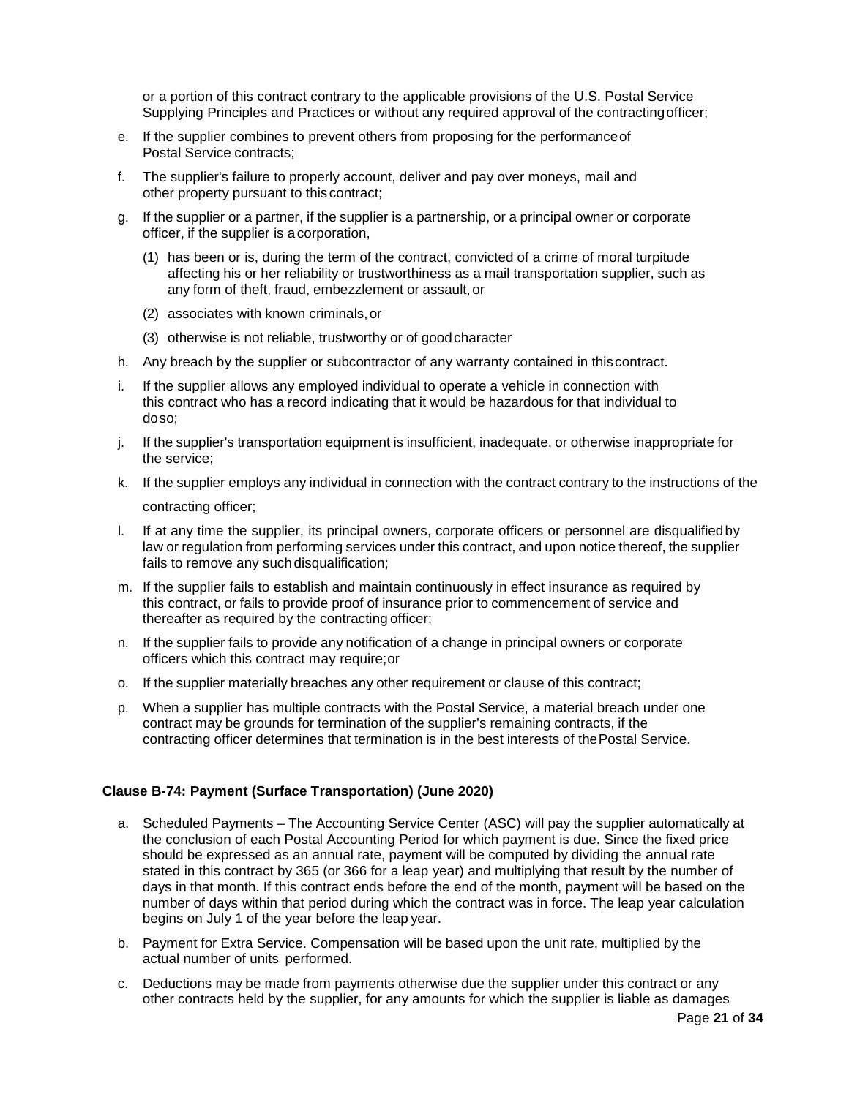or a portion of this contract contrary to the applicable provisions of the U.S. Postal Service Supplying Principles and Practices or without any required approval of the contractingofficer;

- e. If the supplier combines to prevent others from proposing for the performanceof Postal Service contracts;
- f. The supplier's failure to properly account, deliver and pay over moneys, mail and other property pursuant to this contract;
- g. If the supplier or a partner, if the supplier is a partnership, or a principal owner or corporate officer, if the supplier is acorporation,
	- (1) has been or is, during the term of the contract, convicted of a crime of moral turpitude affecting his or her reliability or trustworthiness as a mail transportation supplier, such as any form of theft, fraud, embezzlement or assault, or
	- (2) associates with known criminals,or
	- (3) otherwise is not reliable, trustworthy or of goodcharacter
- h. Any breach by the supplier or subcontractor of any warranty contained in thiscontract.
- i. If the supplier allows any employed individual to operate a vehicle in connection with this contract who has a record indicating that it would be hazardous for that individual to doso;
- j. If the supplier's transportation equipment is insufficient, inadequate, or otherwise inappropriate for the service;
- k. If the supplier employs any individual in connection with the contract contrary to the instructions of the contracting officer;

- l. If at any time the supplier, its principal owners, corporate officers or personnel are disqualifiedby law or regulation from performing services under this contract, and upon notice thereof, the supplier fails to remove any suchdisqualification;
- m. If the supplier fails to establish and maintain continuously in effect insurance as required by this contract, or fails to provide proof of insurance prior to commencement of service and thereafter as required by the contracting officer;
- n. If the supplier fails to provide any notification of a change in principal owners or corporate officers which this contract may require;or
- o. If the supplier materially breaches any other requirement or clause of this contract;
- p. When a supplier has multiple contracts with the Postal Service, a material breach under one contract may be grounds for termination of the supplier's remaining contracts, if the contracting officer determines that termination is in the best interests of thePostal Service.

### <span id="page-20-0"></span>**Clause B-74: Payment (Surface Transportation) (June 2020)**

- a. Scheduled Payments The Accounting Service Center (ASC) will pay the supplier automatically at the conclusion of each Postal Accounting Period for which payment is due. Since the fixed price should be expressed as an annual rate, payment will be computed by dividing the annual rate stated in this contract by 365 (or 366 for a leap year) and multiplying that result by the number of days in that month. If this contract ends before the end of the month, payment will be based on the number of days within that period during which the contract was in force. The leap year calculation begins on July 1 of the year before the leap year.
- b. Payment for Extra Service. Compensation will be based upon the unit rate, multiplied by the actual number of units performed.
- c. Deductions may be made from payments otherwise due the supplier under this contract or any other contracts held by the supplier, for any amounts for which the supplier is liable as damages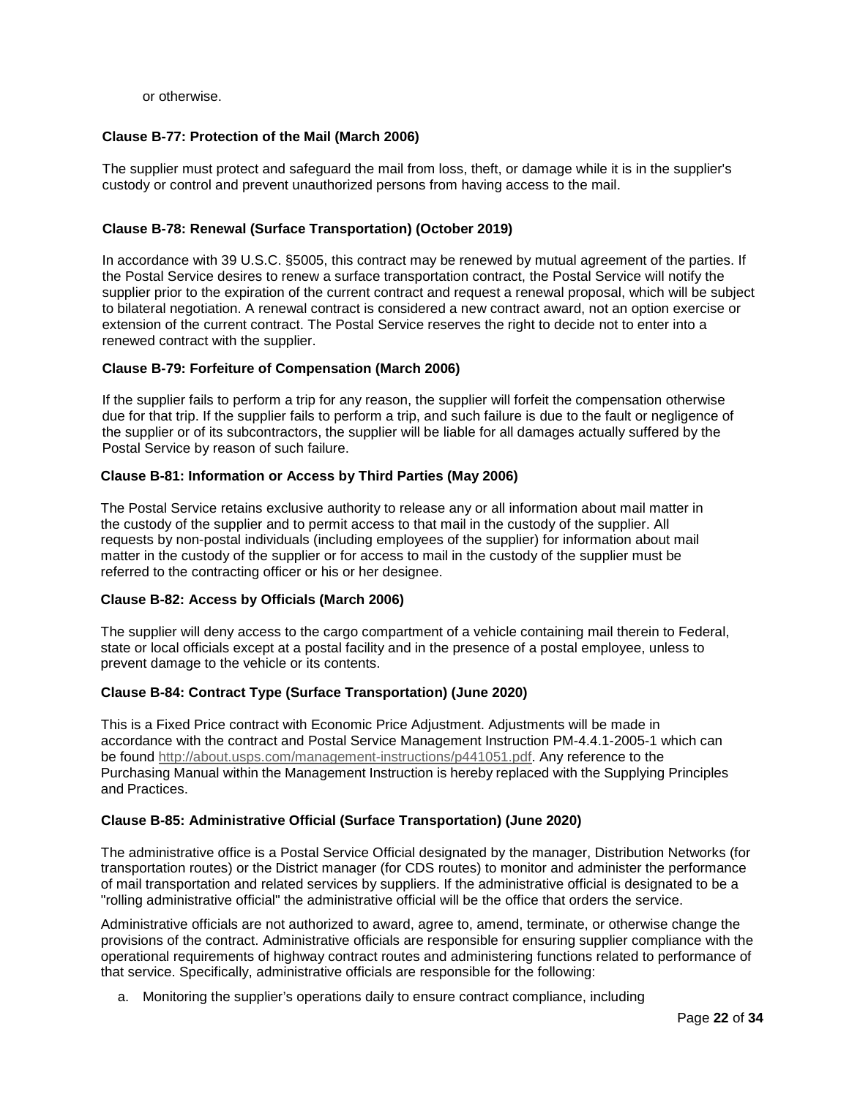or otherwise.

# <span id="page-21-0"></span>**Clause B-77: Protection of the Mail (March 2006)**

The supplier must protect and safeguard the mail from loss, theft, or damage while it is in the supplier's custody or control and prevent unauthorized persons from having access to the mail.

## <span id="page-21-1"></span>**Clause B-78: Renewal (Surface Transportation) (October 2019)**

In accordance with 39 U.S.C. §5005, this contract may be renewed by mutual agreement of the parties. If the Postal Service desires to renew a surface transportation contract, the Postal Service will notify the supplier prior to the expiration of the current contract and request a renewal proposal, which will be subject to bilateral negotiation. A renewal contract is considered a new contract award, not an option exercise or extension of the current contract. The Postal Service reserves the right to decide not to enter into a renewed contract with the supplier.

### <span id="page-21-2"></span>**Clause B-79: Forfeiture of Compensation (March 2006)**

If the supplier fails to perform a trip for any reason, the supplier will forfeit the compensation otherwise due for that trip. If the supplier fails to perform a trip, and such failure is due to the fault or negligence of the supplier or of its subcontractors, the supplier will be liable for all damages actually suffered by the Postal Service by reason of such failure.

# <span id="page-21-3"></span>**Clause B-81: Information or Access by Third Parties (May 2006)**

The Postal Service retains exclusive authority to release any or all information about mail matter in the custody of the supplier and to permit access to that mail in the custody of the supplier. All requests by non-postal individuals (including employees of the supplier) for information about mail matter in the custody of the supplier or for access to mail in the custody of the supplier must be referred to the contracting officer or his or her designee.

### <span id="page-21-4"></span>**Clause B-82: Access by Officials (March 2006)**

The supplier will deny access to the cargo compartment of a vehicle containing mail therein to Federal, state or local officials except at a postal facility and in the presence of a postal employee, unless to prevent damage to the vehicle or its contents.

# <span id="page-21-5"></span>**Clause B-84: Contract Type (Surface Transportation) (June 2020)**

This is a Fixed Price contract with Economic Price Adjustment. Adjustments will be made in accordance with the contract and Postal Service Management Instruction PM-4.4.1-2005-1 which can be found [http://about.usps.com/management-instructions/p441051.pdf.](http://about.usps.com/management-instructions/p441051.pdf) Any reference to the Purchasing Manual within the Management Instruction is hereby replaced with the Supplying Principles and Practices.

### <span id="page-21-6"></span>**Clause B-85: Administrative Official (Surface Transportation) (June 2020)**

The administrative office is a Postal Service Official designated by the manager, Distribution Networks (for transportation routes) or the District manager (for CDS routes) to monitor and administer the performance of mail transportation and related services by suppliers. If the administrative official is designated to be a "rolling administrative official" the administrative official will be the office that orders the service.

Administrative officials are not authorized to award, agree to, amend, terminate, or otherwise change the provisions of the contract. Administrative officials are responsible for ensuring supplier compliance with the operational requirements of highway contract routes and administering functions related to performance of that service. Specifically, administrative officials are responsible for the following:

a. Monitoring the supplier's operations daily to ensure contract compliance, including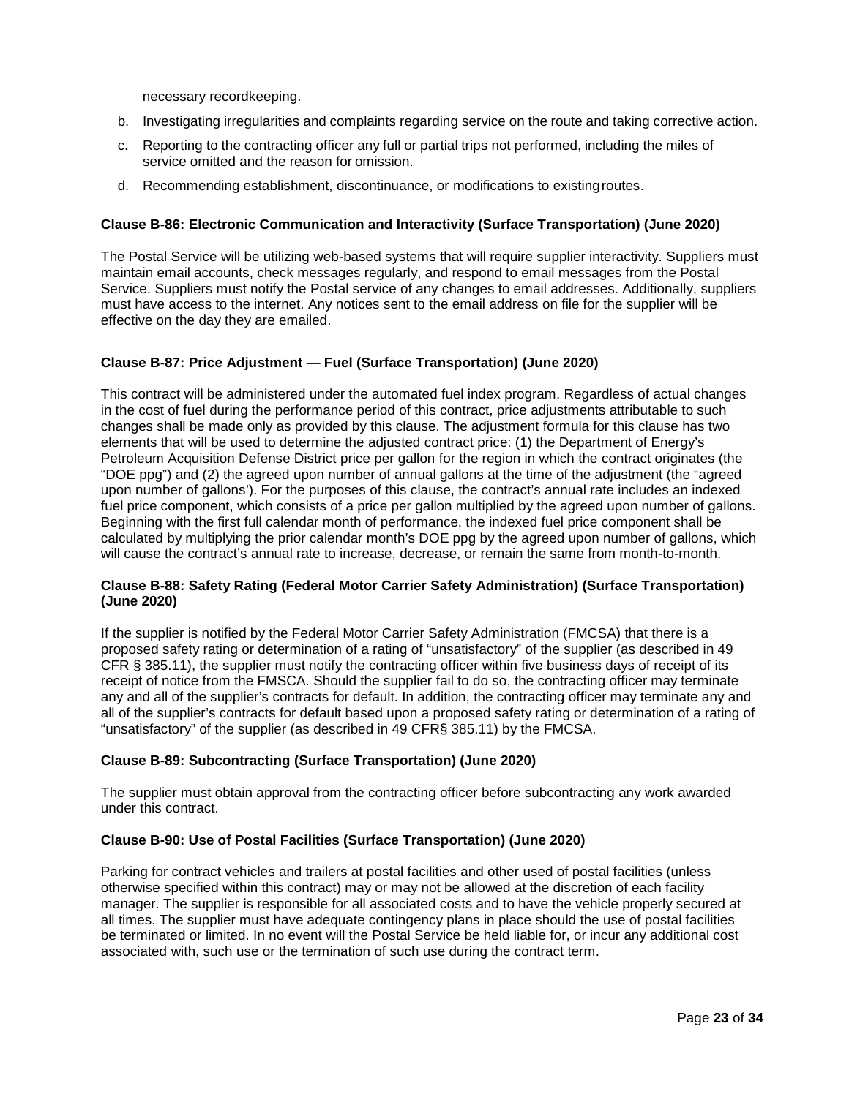necessary recordkeeping.

- b. Investigating irregularities and complaints regarding service on the route and taking corrective action.
- c. Reporting to the contracting officer any full or partial trips not performed, including the miles of service omitted and the reason for omission.
- d. Recommending establishment, discontinuance, or modifications to existingroutes.

## <span id="page-22-0"></span>**Clause B-86: Electronic Communication and Interactivity (Surface Transportation) (June 2020)**

The Postal Service will be utilizing web-based systems that will require supplier interactivity. Suppliers must maintain email accounts, check messages regularly, and respond to email messages from the Postal Service. Suppliers must notify the Postal service of any changes to email addresses. Additionally, suppliers must have access to the internet. Any notices sent to the email address on file for the supplier will be effective on the day they are emailed.

# <span id="page-22-1"></span>**Clause B-87: Price Adjustment — Fuel (Surface Transportation) (June 2020)**

This contract will be administered under the automated fuel index program. Regardless of actual changes in the cost of fuel during the performance period of this contract, price adjustments attributable to such changes shall be made only as provided by this clause. The adjustment formula for this clause has two elements that will be used to determine the adjusted contract price: (1) the Department of Energy's Petroleum Acquisition Defense District price per gallon for the region in which the contract originates (the "DOE ppg") and (2) the agreed upon number of annual gallons at the time of the adjustment (the "agreed upon number of gallons'). For the purposes of this clause, the contract's annual rate includes an indexed fuel price component, which consists of a price per gallon multiplied by the agreed upon number of gallons. Beginning with the first full calendar month of performance, the indexed fuel price component shall be calculated by multiplying the prior calendar month's DOE ppg by the agreed upon number of gallons, which will cause the contract's annual rate to increase, decrease, or remain the same from month-to-month.

### <span id="page-22-2"></span>**Clause B-88: Safety Rating (Federal Motor Carrier Safety Administration) (Surface Transportation) (June 2020)**

If the supplier is notified by the Federal Motor Carrier Safety Administration (FMCSA) that there is a proposed safety rating or determination of a rating of "unsatisfactory" of the supplier (as described in 49 CFR § 385.11), the supplier must notify the contracting officer within five business days of receipt of its receipt of notice from the FMSCA. Should the supplier fail to do so, the contracting officer may terminate any and all of the supplier's contracts for default. In addition, the contracting officer may terminate any and all of the supplier's contracts for default based upon a proposed safety rating or determination of a rating of "unsatisfactory" of the supplier (as described in 49 CFR§ 385.11) by the FMCSA.

### <span id="page-22-3"></span>**Clause B-89: Subcontracting (Surface Transportation) (June 2020)**

The supplier must obtain approval from the contracting officer before subcontracting any work awarded under this contract.

## <span id="page-22-4"></span>**Clause B-90: Use of Postal Facilities (Surface Transportation) (June 2020)**

Parking for contract vehicles and trailers at postal facilities and other used of postal facilities (unless otherwise specified within this contract) may or may not be allowed at the discretion of each facility manager. The supplier is responsible for all associated costs and to have the vehicle properly secured at all times. The supplier must have adequate contingency plans in place should the use of postal facilities be terminated or limited. In no event will the Postal Service be held liable for, or incur any additional cost associated with, such use or the termination of such use during the contract term.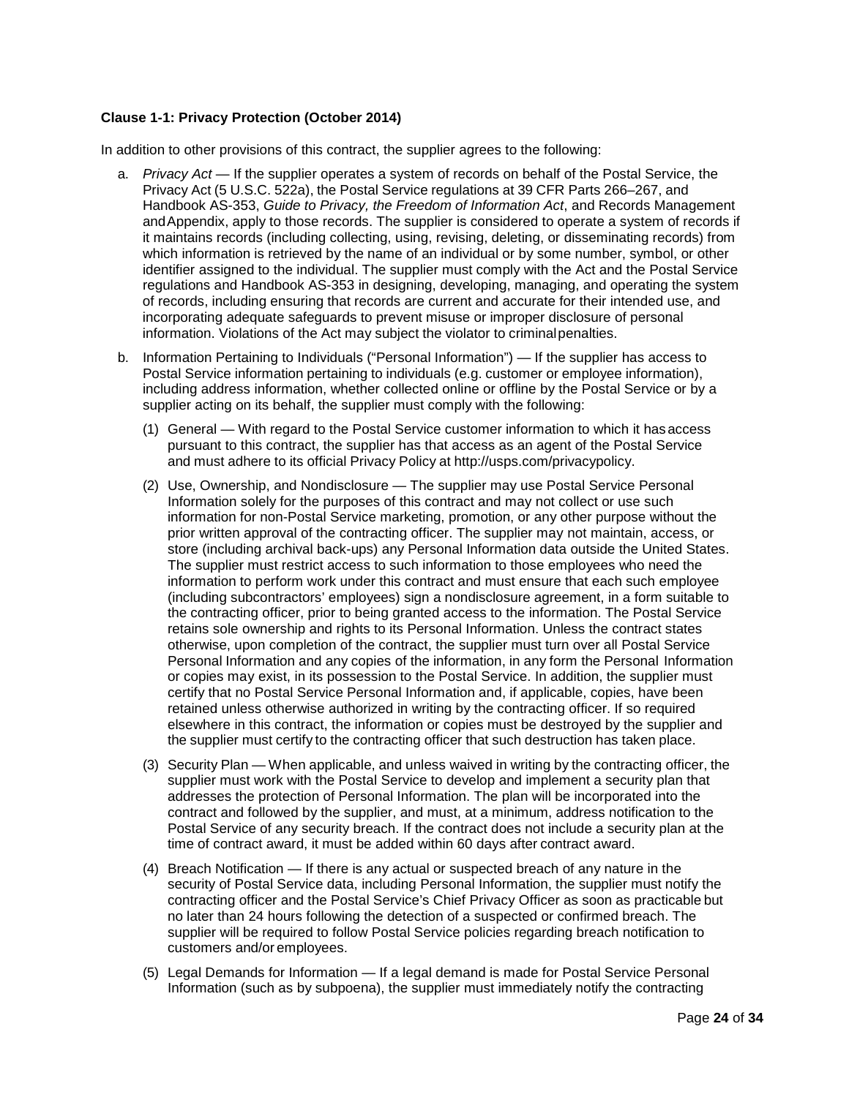# <span id="page-23-0"></span>**Clause 1-1: Privacy Protection (October 2014)**

In addition to other provisions of this contract, the supplier agrees to the following:

- a. *Privacy Act*  If the supplier operates a system of records on behalf of the Postal Service, the Privacy Act (5 U.S.C. 522a), the Postal Service regulations at 39 CFR Parts 266–267, and Handbook AS-353, *Guide to Privacy, the Freedom of Information Act*, and Records Management andAppendix, apply to those records. The supplier is considered to operate a system of records if it maintains records (including collecting, using, revising, deleting, or disseminating records) from which information is retrieved by the name of an individual or by some number, symbol, or other identifier assigned to the individual. The supplier must comply with the Act and the Postal Service regulations and Handbook AS-353 in designing, developing, managing, and operating the system of records, including ensuring that records are current and accurate for their intended use, and incorporating adequate safeguards to prevent misuse or improper disclosure of personal information. Violations of the Act may subject the violator to criminalpenalties.
- b. Information Pertaining to Individuals ("Personal Information") If the supplier has access to Postal Service information pertaining to individuals (e.g. customer or employee information), including address information, whether collected online or offline by the Postal Service or by a supplier acting on its behalf, the supplier must comply with the following:
	- (1) General With regard to the Postal Service customer information to which it hasaccess pursuant to this contract, the supplier has that access as an agent of the Postal Service and must adhere to its official Privacy Policy at [http://usps.com/privacypolicy.](http://usps.com/privacypolicy)
	- (2) Use, Ownership, and Nondisclosure The supplier may use Postal Service Personal Information solely for the purposes of this contract and may not collect or use such information for non-Postal Service marketing, promotion, or any other purpose without the prior written approval of the contracting officer. The supplier may not maintain, access, or store (including archival back-ups) any Personal Information data outside the United States. The supplier must restrict access to such information to those employees who need the information to perform work under this contract and must ensure that each such employee (including subcontractors' employees) sign a nondisclosure agreement, in a form suitable to the contracting officer, prior to being granted access to the information. The Postal Service retains sole ownership and rights to its Personal Information. Unless the contract states otherwise, upon completion of the contract, the supplier must turn over all Postal Service Personal Information and any copies of the information, in any form the Personal Information or copies may exist, in its possession to the Postal Service. In addition, the supplier must certify that no Postal Service Personal Information and, if applicable, copies, have been retained unless otherwise authorized in writing by the contracting officer. If so required elsewhere in this contract, the information or copies must be destroyed by the supplier and the supplier must certify to the contracting officer that such destruction has taken place.
	- (3) Security Plan When applicable, and unless waived in writing by the contracting officer, the supplier must work with the Postal Service to develop and implement a security plan that addresses the protection of Personal Information. The plan will be incorporated into the contract and followed by the supplier, and must, at a minimum, address notification to the Postal Service of any security breach. If the contract does not include a security plan at the time of contract award, it must be added within 60 days after contract award.
	- (4) Breach Notification If there is any actual or suspected breach of any nature in the security of Postal Service data, including Personal Information, the supplier must notify the contracting officer and the Postal Service's Chief Privacy Officer as soon as practicable but no later than 24 hours following the detection of a suspected or confirmed breach. The supplier will be required to follow Postal Service policies regarding breach notification to customers and/or employees.
	- (5) Legal Demands for Information If a legal demand is made for Postal Service Personal Information (such as by subpoena), the supplier must immediately notify the contracting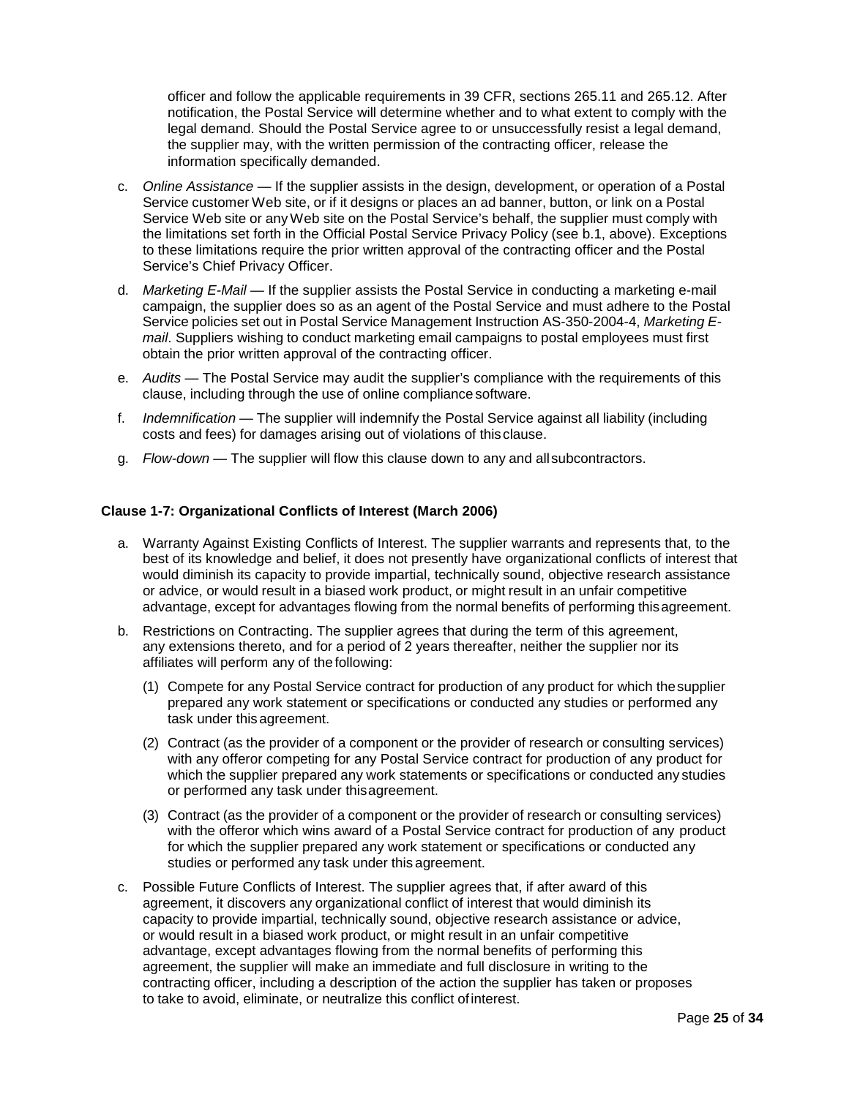officer and follow the applicable requirements in 39 CFR, sections 265.11 and 265.12. After notification, the Postal Service will determine whether and to what extent to comply with the legal demand. Should the Postal Service agree to or unsuccessfully resist a legal demand, the supplier may, with the written permission of the contracting officer, release the information specifically demanded.

- c. *Online Assistance*  If the supplier assists in the design, development, or operation of a Postal Service customer Web site, or if it designs or places an ad banner, button, or link on a Postal Service Web site or anyWeb site on the Postal Service's behalf, the supplier must comply with the limitations set forth in the Official Postal Service Privacy Policy (see b.1, above). Exceptions to these limitations require the prior written approval of the contracting officer and the Postal Service's Chief Privacy Officer.
- d. *Marketing E-Mail*  If the supplier assists the Postal Service in conducting a marketing e-mail campaign, the supplier does so as an agent of the Postal Service and must adhere to the Postal Service policies set out in Postal Service Management Instruction AS-350-2004-4, *Marketing Email*. Suppliers wishing to conduct marketing email campaigns to postal employees must first obtain the prior written approval of the contracting officer.
- e. *Audits*  The Postal Service may audit the supplier's compliance with the requirements of this clause, including through the use of online compliance software.
- f. *Indemnification* The supplier will indemnify the Postal Service against all liability (including costs and fees) for damages arising out of violations of this clause.
- g. *Flow-down* The supplier will flow this clause down to any and allsubcontractors.

#### <span id="page-24-0"></span>**Clause 1-7: Organizational Conflicts of Interest (March 2006)**

- a. Warranty Against Existing Conflicts of Interest. The supplier warrants and represents that, to the best of its knowledge and belief, it does not presently have organizational conflicts of interest that would diminish its capacity to provide impartial, technically sound, objective research assistance or advice, or would result in a biased work product, or might result in an unfair competitive advantage, except for advantages flowing from the normal benefits of performing thisagreement.
- b. Restrictions on Contracting. The supplier agrees that during the term of this agreement, any extensions thereto, and for a period of 2 years thereafter, neither the supplier nor its affiliates will perform any of the following:
	- (1) Compete for any Postal Service contract for production of any product for which thesupplier prepared any work statement or specifications or conducted any studies or performed any task under this agreement.
	- (2) Contract (as the provider of a component or the provider of research or consulting services) with any offeror competing for any Postal Service contract for production of any product for which the supplier prepared any work statements or specifications or conducted any studies or performed any task under thisagreement.
	- (3) Contract (as the provider of a component or the provider of research or consulting services) with the offeror which wins award of a Postal Service contract for production of any product for which the supplier prepared any work statement or specifications or conducted any studies or performed any task under this agreement.
- c. Possible Future Conflicts of Interest. The supplier agrees that, if after award of this agreement, it discovers any organizational conflict of interest that would diminish its capacity to provide impartial, technically sound, objective research assistance or advice, or would result in a biased work product, or might result in an unfair competitive advantage, except advantages flowing from the normal benefits of performing this agreement, the supplier will make an immediate and full disclosure in writing to the contracting officer, including a description of the action the supplier has taken or proposes to take to avoid, eliminate, or neutralize this conflict ofinterest.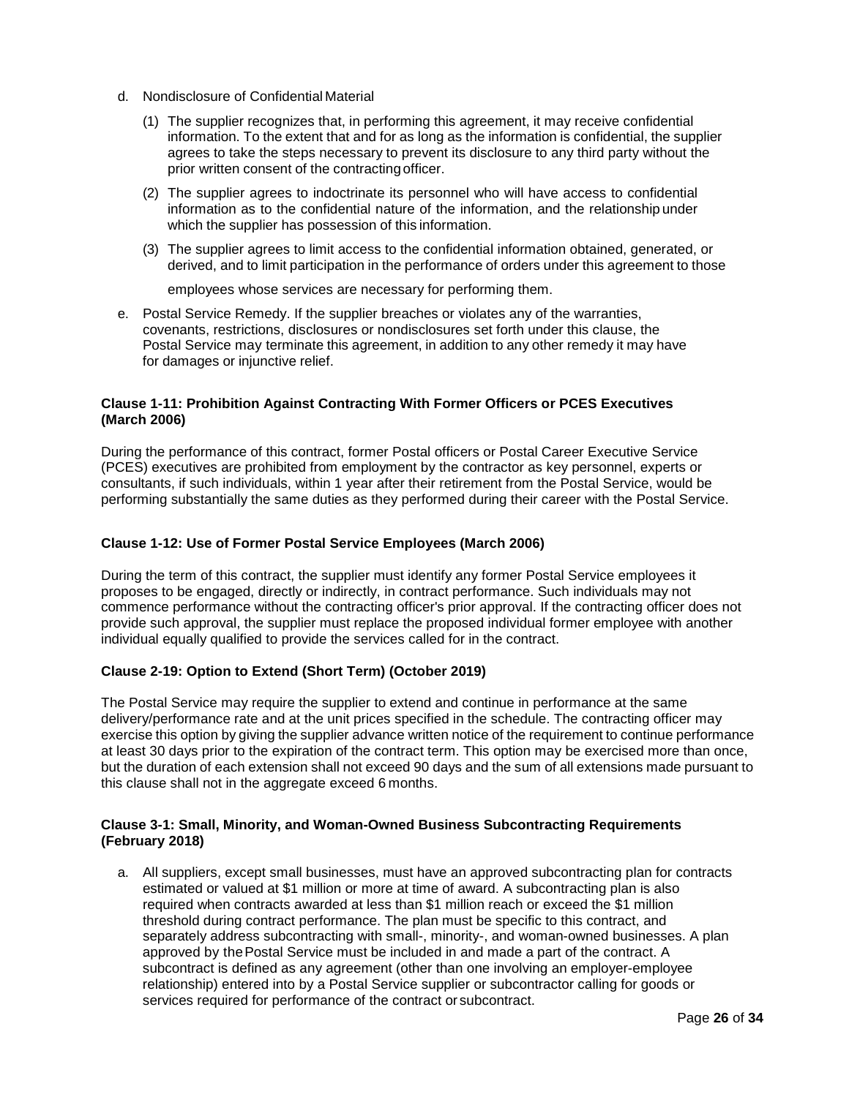- d. Nondisclosure of Confidential Material
	- (1) The supplier recognizes that, in performing this agreement, it may receive confidential information. To the extent that and for as long as the information is confidential, the supplier agrees to take the steps necessary to prevent its disclosure to any third party without the prior written consent of the contracting officer.
	- (2) The supplier agrees to indoctrinate its personnel who will have access to confidential information as to the confidential nature of the information, and the relationship under which the supplier has possession of this information.
	- (3) The supplier agrees to limit access to the confidential information obtained, generated, or derived, and to limit participation in the performance of orders under this agreement to those

employees whose services are necessary for performing them.

e. Postal Service Remedy. If the supplier breaches or violates any of the warranties, covenants, restrictions, disclosures or nondisclosures set forth under this clause, the Postal Service may terminate this agreement, in addition to any other remedy it may have for damages or injunctive relief.

# <span id="page-25-0"></span>**Clause 1-11: Prohibition Against Contracting With Former Officers or PCES Executives (March 2006)**

During the performance of this contract, former Postal officers or Postal Career Executive Service (PCES) executives are prohibited from employment by the contractor as key personnel, experts or consultants, if such individuals, within 1 year after their retirement from the Postal Service, would be performing substantially the same duties as they performed during their career with the Postal Service.

### <span id="page-25-1"></span>**Clause 1-12: Use of Former Postal Service Employees (March 2006)**

During the term of this contract, the supplier must identify any former Postal Service employees it proposes to be engaged, directly or indirectly, in contract performance. Such individuals may not commence performance without the contracting officer's prior approval. If the contracting officer does not provide such approval, the supplier must replace the proposed individual former employee with another individual equally qualified to provide the services called for in the contract.

### <span id="page-25-2"></span>**Clause 2-19: Option to Extend (Short Term) (October 2019)**

The Postal Service may require the supplier to extend and continue in performance at the same delivery/performance rate and at the unit prices specified in the schedule. The contracting officer may exercise this option by giving the supplier advance written notice of the requirement to continue performance at least 30 days prior to the expiration of the contract term. This option may be exercised more than once, but the duration of each extension shall not exceed 90 days and the sum of all extensions made pursuant to this clause shall not in the aggregate exceed 6 months.

#### <span id="page-25-3"></span>**Clause 3-1: Small, Minority, and Woman-Owned Business Subcontracting Requirements (February 2018)**

a. All suppliers, except small businesses, must have an approved subcontracting plan for contracts estimated or valued at \$1 million or more at time of award. A subcontracting plan is also required when contracts awarded at less than \$1 million reach or exceed the \$1 million threshold during contract performance. The plan must be specific to this contract, and separately address subcontracting with small-, minority-, and woman-owned businesses. A plan approved by thePostal Service must be included in and made a part of the contract. A subcontract is defined as any agreement (other than one involving an employer-employee relationship) entered into by a Postal Service supplier or subcontractor calling for goods or services required for performance of the contract or subcontract.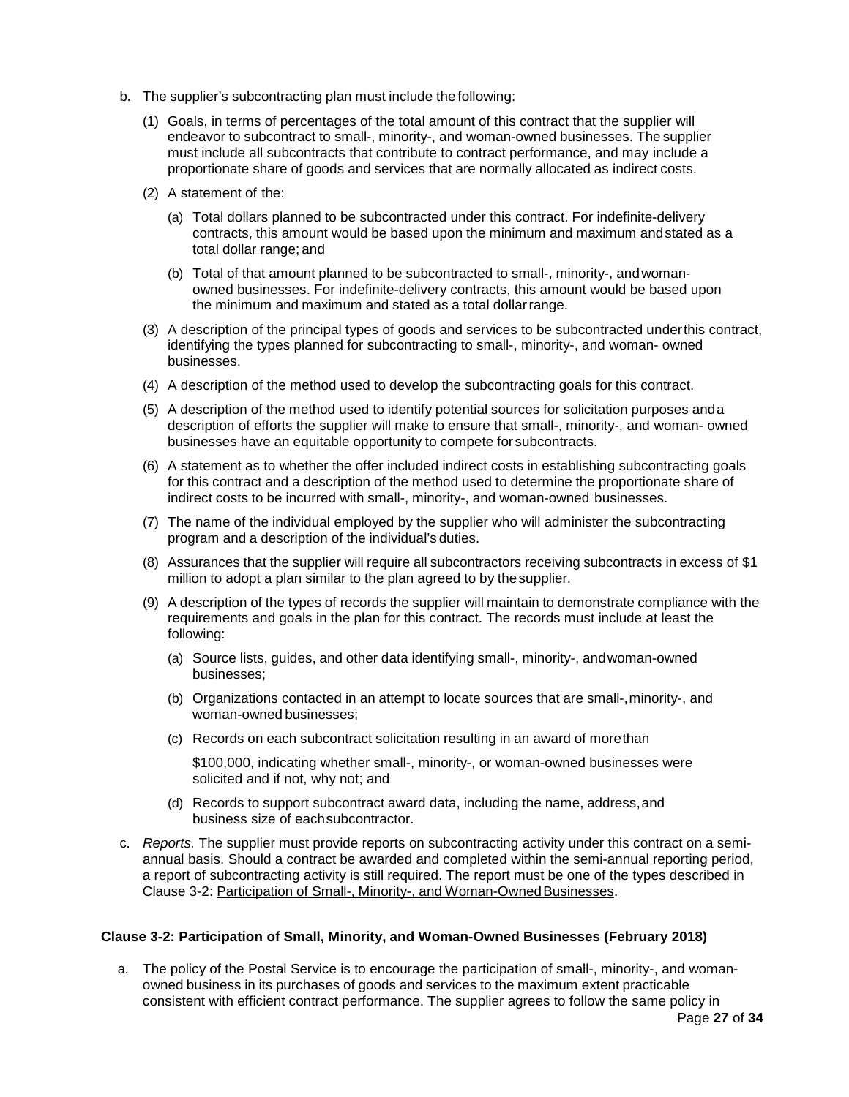- b. The supplier's subcontracting plan must include the following:
	- (1) Goals, in terms of percentages of the total amount of this contract that the supplier will endeavor to subcontract to small-, minority-, and woman-owned businesses. The supplier must include all subcontracts that contribute to contract performance, and may include a proportionate share of goods and services that are normally allocated as indirect costs.
	- (2) A statement of the:
		- (a) Total dollars planned to be subcontracted under this contract. For indefinite-delivery contracts, this amount would be based upon the minimum and maximum andstated as a total dollar range; and
		- (b) Total of that amount planned to be subcontracted to small-, minority-, andwomanowned businesses. For indefinite-delivery contracts, this amount would be based upon the minimum and maximum and stated as a total dollarrange.
	- (3) A description of the principal types of goods and services to be subcontracted underthis contract, identifying the types planned for subcontracting to small-, minority-, and woman- owned businesses.
	- (4) A description of the method used to develop the subcontracting goals for this contract.
	- (5) A description of the method used to identify potential sources for solicitation purposes anda description of efforts the supplier will make to ensure that small-, minority-, and woman- owned businesses have an equitable opportunity to compete forsubcontracts.
	- (6) A statement as to whether the offer included indirect costs in establishing subcontracting goals for this contract and a description of the method used to determine the proportionate share of indirect costs to be incurred with small-, minority-, and woman-owned businesses.
	- (7) The name of the individual employed by the supplier who will administer the subcontracting program and a description of the individual's duties.
	- (8) Assurances that the supplier will require all subcontractors receiving subcontracts in excess of \$1 million to adopt a plan similar to the plan agreed to by thesupplier.
	- (9) A description of the types of records the supplier will maintain to demonstrate compliance with the requirements and goals in the plan for this contract. The records must include at least the following:
		- (a) Source lists, guides, and other data identifying small-, minority-, andwoman-owned businesses;
		- (b) Organizations contacted in an attempt to locate sources that are small-,minority-, and woman-owned businesses;
		- (c) Records on each subcontract solicitation resulting in an award of morethan

\$100,000, indicating whether small-, minority-, or woman-owned businesses were solicited and if not, why not; and

- (d) Records to support subcontract award data, including the name, address,and business size of eachsubcontractor.
- c. *Reports.* The supplier must provide reports on subcontracting activity under this contract on a semiannual basis. Should a contract be awarded and completed within the semi-annual reporting period, a report of subcontracting activity is still required. The report must be one of the types described in Clause 3-2: Participation of Small-, Minority-, and Woman-Owned Businesses.

### <span id="page-26-0"></span>**Clause 3-2: Participation of Small, Minority, and Woman-Owned Businesses (February 2018)**

a. The policy of the Postal Service is to encourage the participation of small-, minority-, and womanowned business in its purchases of goods and services to the maximum extent practicable consistent with efficient contract performance. The supplier agrees to follow the same policy in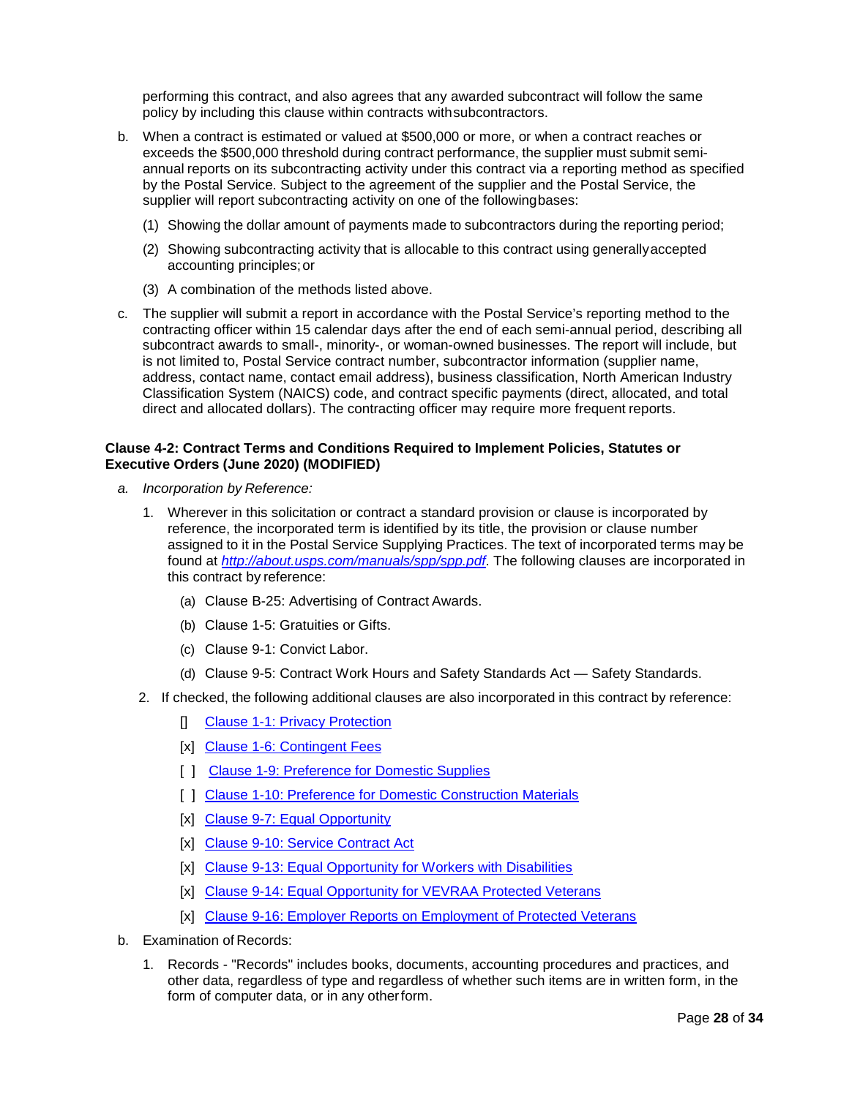performing this contract, and also agrees that any awarded subcontract will follow the same policy by including this clause within contracts withsubcontractors.

- b. When a contract is estimated or valued at \$500,000 or more, or when a contract reaches or exceeds the \$500,000 threshold during contract performance, the supplier must submit semiannual reports on its subcontracting activity under this contract via a reporting method as specified by the Postal Service. Subject to the agreement of the supplier and the Postal Service, the supplier will report subcontracting activity on one of the followingbases:
	- (1) Showing the dollar amount of payments made to subcontractors during the reporting period;
	- (2) Showing subcontracting activity that is allocable to this contract using generallyaccepted accounting principles;or
	- (3) A combination of the methods listed above.
- c. The supplier will submit a report in accordance with the Postal Service's reporting method to the contracting officer within 15 calendar days after the end of each semi-annual period, describing all subcontract awards to small-, minority-, or woman-owned businesses. The report will include, but is not limited to, Postal Service contract number, subcontractor information (supplier name, address, contact name, contact email address), business classification, North American Industry Classification System (NAICS) code, and contract specific payments (direct, allocated, and total direct and allocated dollars). The contracting officer may require more frequent reports.

### <span id="page-27-0"></span>**Clause 4-2: Contract Terms and Conditions Required to Implement Policies, Statutes or Executive Orders (June 2020) (MODIFIED)**

- *a. Incorporation by Reference:*
	- 1. Wherever in this solicitation or contract a standard provision or clause is incorporated by reference, the incorporated term is identified by its title, the provision or clause number assigned to it in the Postal Service Supplying Practices. The text of incorporated terms may be found at *<http://about.usps.com/manuals/spp/spp.pdf>*. The following clauses are incorporated in this contract by reference:
		- (a) Clause B-25: Advertising of Contract Awards.
		- (b) Clause 1-5: Gratuities or Gifts.
		- (c) Clause 9-1: Convict Labor.
		- (d) Clause 9-5: Contract Work Hours and Safety Standards Act Safety Standards.
	- 2. If checked, the following additional clauses are also incorporated in this contract by reference:
		- [] [Clause 1-1: Privacy Protection](https://about.usps.com/manuals/spp/html/spp10.htm#ep856157)
		- [x] [Clause 1-6: Contingent Fees](https://about.usps.com/manuals/spp/html/spp10.htm#ep856395)
		- [ ] [Clause 1-9: Preference for Domestic Supplies](https://about.usps.com/manuals/spp/html/spp10.htm#ep856427)
		- [ ] [Clause 1-10: Preference for Domestic Construction Materials](https://about.usps.com/manuals/spp/html/spp10.htm#ep856443)
		- [x] [Clause 9-7: Equal Opportunity](https://about.usps.com/manuals/spp/html/spp10.htm#ep859006)
		- [x] [Clause 9-10: Service Contract Act](https://about.usps.com/manuals/spp/html/spp10.htm#ep859134)
		- [x] [Clause 9-13: Equal Opportunity for Workers with Disabilities](https://about.usps.com/manuals/spp/html/spp10.htm#ep859266)
		- [x] [Clause 9-14: Equal Opportunity for VEVRAA Protected Veterans](https://about.usps.com/manuals/spp/html/spp10.htm#ep1074510)
		- [x] [Clause 9-16: Employer Reports on Employment of Protected Veterans](https://about.usps.com/manuals/spp/html/spp10.htm#ep1074510)
- b. Examination of Records:
	- 1. Records "Records" includes books, documents, accounting procedures and practices, and other data, regardless of type and regardless of whether such items are in written form, in the form of computer data, or in any otherform.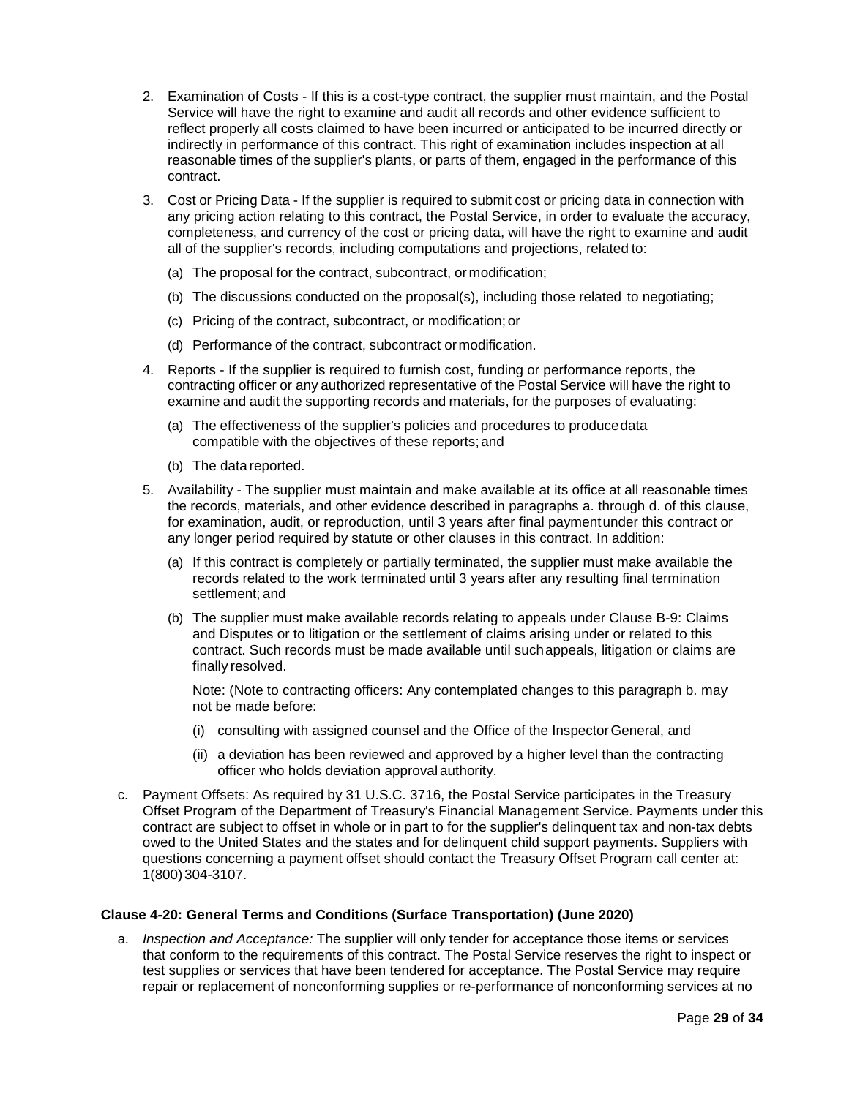- 2. Examination of Costs If this is a cost-type contract, the supplier must maintain, and the Postal Service will have the right to examine and audit all records and other evidence sufficient to reflect properly all costs claimed to have been incurred or anticipated to be incurred directly or indirectly in performance of this contract. This right of examination includes inspection at all reasonable times of the supplier's plants, or parts of them, engaged in the performance of this contract.
- 3. Cost or Pricing Data If the supplier is required to submit cost or pricing data in connection with any pricing action relating to this contract, the Postal Service, in order to evaluate the accuracy, completeness, and currency of the cost or pricing data, will have the right to examine and audit all of the supplier's records, including computations and projections, related to:
	- (a) The proposal for the contract, subcontract, or modification;
	- (b) The discussions conducted on the proposal(s), including those related to negotiating;
	- (c) Pricing of the contract, subcontract, or modification; or
	- (d) Performance of the contract, subcontract ormodification.
- 4. Reports If the supplier is required to furnish cost, funding or performance reports, the contracting officer or any authorized representative of the Postal Service will have the right to examine and audit the supporting records and materials, for the purposes of evaluating:
	- (a) The effectiveness of the supplier's policies and procedures to producedata compatible with the objectives of these reports; and
	- (b) The data reported.
- 5. Availability The supplier must maintain and make available at its office at all reasonable times the records, materials, and other evidence described in paragraphs a. through d. of this clause, for examination, audit, or reproduction, until 3 years after final paymentunder this contract or any longer period required by statute or other clauses in this contract. In addition:
	- (a) If this contract is completely or partially terminated, the supplier must make available the records related to the work terminated until 3 years after any resulting final termination settlement; and
	- (b) The supplier must make available records relating to appeals under Clause B-9: Claims and Disputes or to litigation or the settlement of claims arising under or related to this contract. Such records must be made available until suchappeals, litigation or claims are finally resolved.

Note: (Note to contracting officers: Any contemplated changes to this paragraph b. may not be made before:

- (i) consulting with assigned counsel and the Office of the InspectorGeneral, and
- (ii) a deviation has been reviewed and approved by a higher level than the contracting officer who holds deviation approval authority.
- c. Payment Offsets: As required by 31 U.S.C. 3716, the Postal Service participates in the Treasury Offset Program of the Department of Treasury's Financial Management Service. Payments under this contract are subject to offset in whole or in part to for the supplier's delinquent tax and non-tax debts owed to the United States and the states and for delinquent child support payments. Suppliers with questions concerning a payment offset should contact the Treasury Offset Program call center at: 1(800)304-3107.

### <span id="page-28-0"></span>**Clause 4-20: General Terms and Conditions (Surface Transportation) (June 2020)**

a. *Inspection and Acceptance:* The supplier will only tender for acceptance those items or services that conform to the requirements of this contract. The Postal Service reserves the right to inspect or test supplies or services that have been tendered for acceptance. The Postal Service may require repair or replacement of nonconforming supplies or re-performance of nonconforming services at no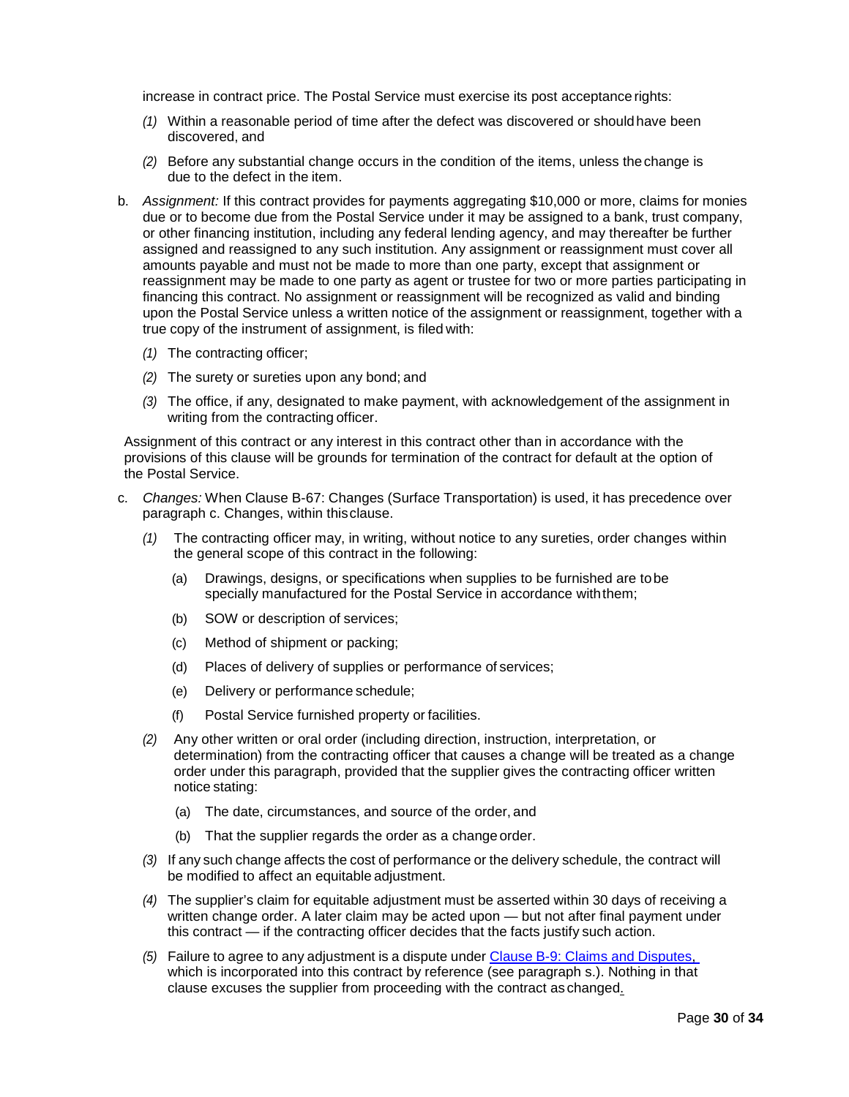increase in contract price. The Postal Service must exercise its post acceptancerights:

- *(1)* Within a reasonable period of time after the defect was discovered or shouldhave been discovered, and
- *(2)* Before any substantial change occurs in the condition of the items, unless thechange is due to the defect in the item.
- b. *Assignment:* If this contract provides for payments aggregating \$10,000 or more, claims for monies due or to become due from the Postal Service under it may be assigned to a bank, trust company, or other financing institution, including any federal lending agency, and may thereafter be further assigned and reassigned to any such institution. Any assignment or reassignment must cover all amounts payable and must not be made to more than one party, except that assignment or reassignment may be made to one party as agent or trustee for two or more parties participating in financing this contract. No assignment or reassignment will be recognized as valid and binding upon the Postal Service unless a written notice of the assignment or reassignment, together with a true copy of the instrument of assignment, is filed with:
	- *(1)* The contracting officer;
	- *(2)* The surety or sureties upon any bond; and
	- *(3)* The office, if any, designated to make payment, with acknowledgement of the assignment in writing from the contracting officer.

Assignment of this contract or any interest in this contract other than in accordance with the provisions of this clause will be grounds for termination of the contract for default at the option of the Postal Service.

- c. *Changes:* When Clause B-67: Changes (Surface Transportation) is used, it has precedence over paragraph c. Changes, within thisclause.
	- *(1)* The contracting officer may, in writing, without notice to any sureties, order changes within the general scope of this contract in the following:
		- (a) Drawings, designs, or specifications when supplies to be furnished are tobe specially manufactured for the Postal Service in accordance withthem;
		- (b) SOW or description of services;
		- (c) Method of shipment or packing;
		- (d) Places of delivery of supplies or performance of services;
		- (e) Delivery or performance schedule;
		- (f) Postal Service furnished property or facilities.
	- *(2)* Any other written or oral order (including direction, instruction, interpretation, or determination) from the contracting officer that causes a change will be treated as a change order under this paragraph, provided that the supplier gives the contracting officer written notice stating:
		- (a) The date, circumstances, and source of the order, and
		- (b) That the supplier regards the order as a change order.
	- *(3)* If any such change affects the cost of performance or the delivery schedule, the contract will be modified to affect an equitable adjustment.
	- *(4)* The supplier's claim for equitable adjustment must be asserted within 30 days of receiving a written change order. A later claim may be acted upon — but not after final payment under this contract — if the contracting officer decides that the facts justify such action.
	- *(5)* Failure to agree to any adjustment is a dispute under Clause B-9: Claims and Disputes, which is incorporated into this contract by reference (see paragraph s.). Nothing in that clause excuses the supplier from proceeding with the contract as changed.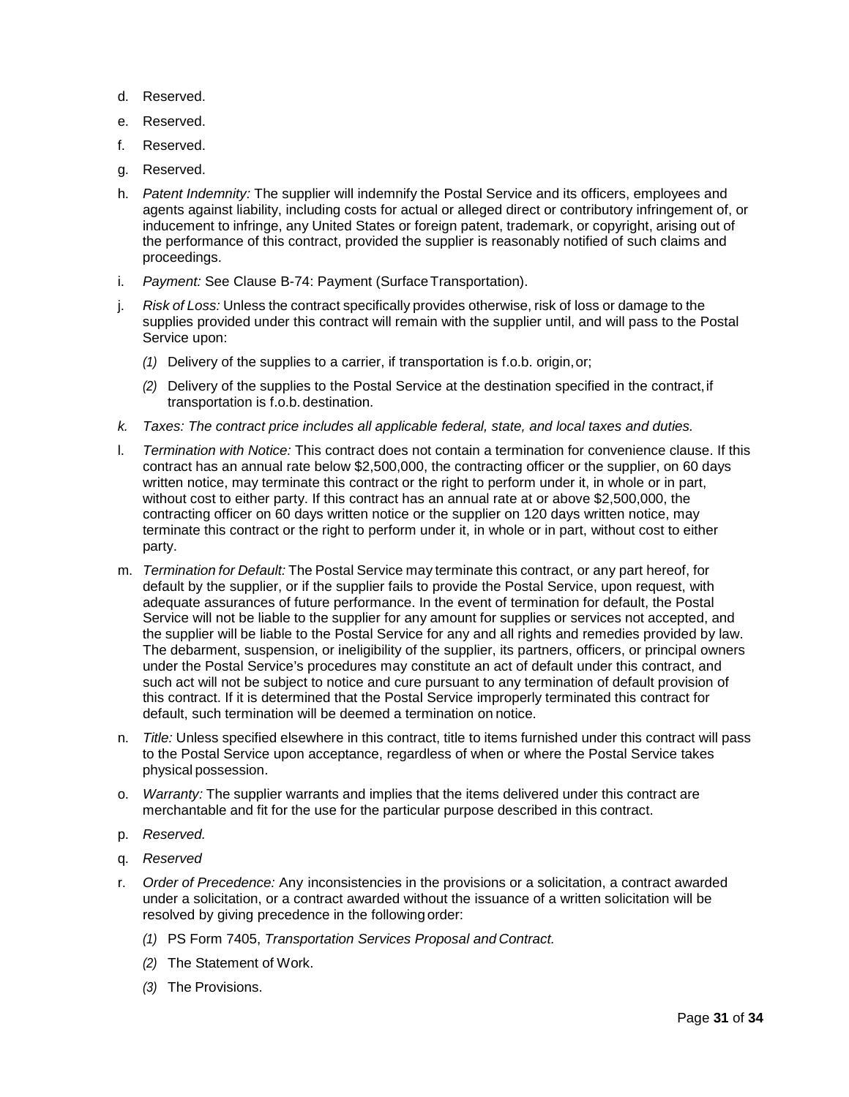- d. Reserved.
- e. Reserved.
- f. Reserved.
- g. Reserved.
- h. *Patent Indemnity:* The supplier will indemnify the Postal Service and its officers, employees and agents against liability, including costs for actual or alleged direct or contributory infringement of, or inducement to infringe, any United States or foreign patent, trademark, or copyright, arising out of the performance of this contract, provided the supplier is reasonably notified of such claims and proceedings.
- i. *Payment:* See Clause B-74: Payment (Surface Transportation).
- j. *Risk of Loss:* Unless the contract specifically provides otherwise, risk of loss or damage to the supplies provided under this contract will remain with the supplier until, and will pass to the Postal Service upon:
	- *(1)* Delivery of the supplies to a carrier, if transportation is f.o.b. origin,or;
	- *(2)* Delivery of the supplies to the Postal Service at the destination specified in the contract,if transportation is f.o.b. destination.
- *k. Taxes: The contract price includes all applicable federal, state, and local taxes and duties.*
- l. *Termination with Notice:* This contract does not contain a termination for convenience clause. If this contract has an annual rate below \$2,500,000, the contracting officer or the supplier, on 60 days written notice, may terminate this contract or the right to perform under it, in whole or in part, without cost to either party. If this contract has an annual rate at or above \$2,500,000, the contracting officer on 60 days written notice or the supplier on 120 days written notice, may terminate this contract or the right to perform under it, in whole or in part, without cost to either party.
- m. *Termination for Default:* The Postal Service may terminate this contract, or any part hereof, for default by the supplier, or if the supplier fails to provide the Postal Service, upon request, with adequate assurances of future performance. In the event of termination for default, the Postal Service will not be liable to the supplier for any amount for supplies or services not accepted, and the supplier will be liable to the Postal Service for any and all rights and remedies provided by law. The debarment, suspension, or ineligibility of the supplier, its partners, officers, or principal owners under the Postal Service's procedures may constitute an act of default under this contract, and such act will not be subject to notice and cure pursuant to any termination of default provision of this contract. If it is determined that the Postal Service improperly terminated this contract for default, such termination will be deemed a termination on notice.
- n. *Title:* Unless specified elsewhere in this contract, title to items furnished under this contract will pass to the Postal Service upon acceptance, regardless of when or where the Postal Service takes physical possession.
- o. *Warranty:* The supplier warrants and implies that the items delivered under this contract are merchantable and fit for the use for the particular purpose described in this contract.
- p. *Reserved.*
- q. *Reserved*
- r. *Order of Precedence:* Any inconsistencies in the provisions or a solicitation, a contract awarded under a solicitation, or a contract awarded without the issuance of a written solicitation will be resolved by giving precedence in the following order:
	- *(1)* PS Form 7405, *Transportation Services Proposal and Contract.*
	- *(2)* The Statement of Work.
	- *(3)* The Provisions.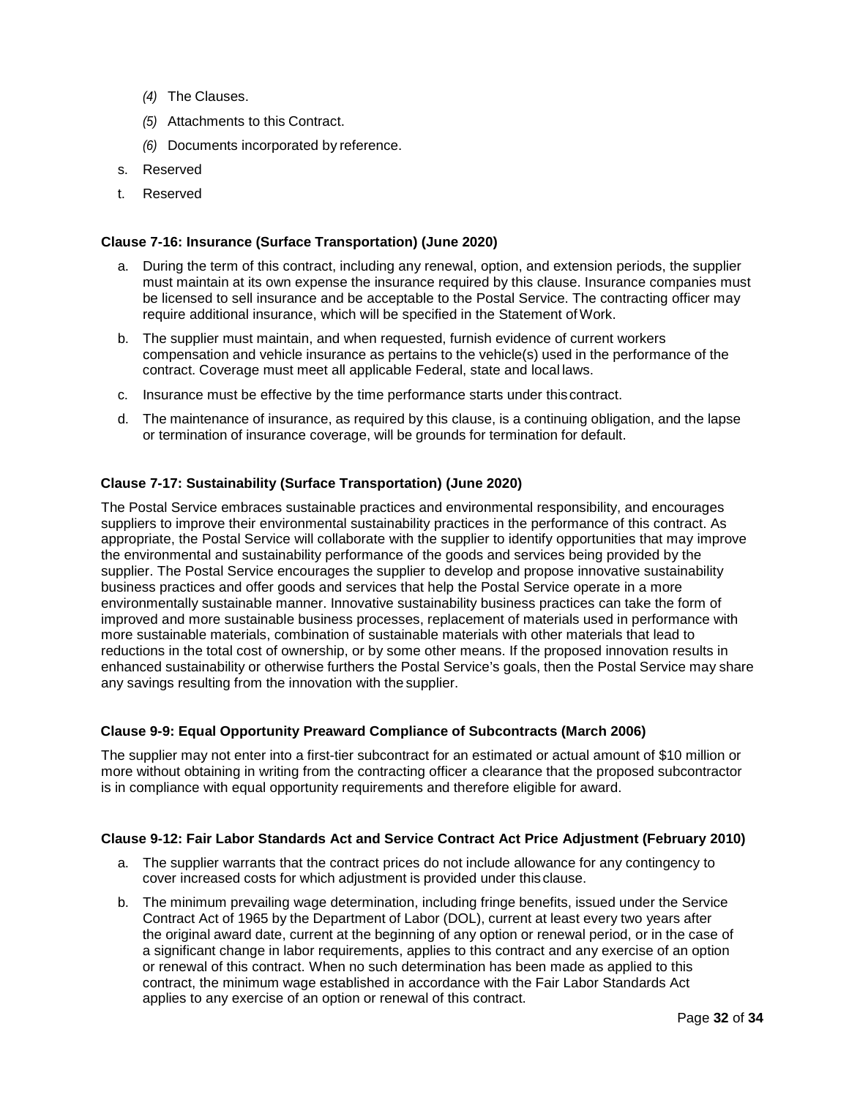- *(4)* The Clauses.
- *(5)* Attachments to this Contract.
- *(6)* Documents incorporated by reference.
- s. Reserved
- t. Reserved

### <span id="page-31-0"></span>**Clause 7-16: Insurance (Surface Transportation) (June 2020)**

- a. During the term of this contract, including any renewal, option, and extension periods, the supplier must maintain at its own expense the insurance required by this clause. Insurance companies must be licensed to sell insurance and be acceptable to the Postal Service. The contracting officer may require additional insurance, which will be specified in the Statement of Work.
- b. The supplier must maintain, and when requested, furnish evidence of current workers compensation and vehicle insurance as pertains to the vehicle(s) used in the performance of the contract. Coverage must meet all applicable Federal, state and local laws.
- c. Insurance must be effective by the time performance starts under thiscontract.
- d. The maintenance of insurance, as required by this clause, is a continuing obligation, and the lapse or termination of insurance coverage, will be grounds for termination for default.

# <span id="page-31-1"></span>**Clause 7-17: Sustainability (Surface Transportation) (June 2020)**

The Postal Service embraces sustainable practices and environmental responsibility, and encourages suppliers to improve their environmental sustainability practices in the performance of this contract. As appropriate, the Postal Service will collaborate with the supplier to identify opportunities that may improve the environmental and sustainability performance of the goods and services being provided by the supplier. The Postal Service encourages the supplier to develop and propose innovative sustainability business practices and offer goods and services that help the Postal Service operate in a more environmentally sustainable manner. Innovative sustainability business practices can take the form of improved and more sustainable business processes, replacement of materials used in performance with more sustainable materials, combination of sustainable materials with other materials that lead to reductions in the total cost of ownership, or by some other means. If the proposed innovation results in enhanced sustainability or otherwise furthers the Postal Service's goals, then the Postal Service may share any savings resulting from the innovation with the supplier.

### <span id="page-31-2"></span>**Clause 9-9: Equal Opportunity Preaward Compliance of Subcontracts (March 2006)**

The supplier may not enter into a first-tier subcontract for an estimated or actual amount of \$10 million or more without obtaining in writing from the contracting officer a clearance that the proposed subcontractor is in compliance with equal opportunity requirements and therefore eligible for award.

### <span id="page-31-3"></span>**Clause 9-12: Fair Labor Standards Act and Service Contract Act Price Adjustment (February 2010)**

- a. The supplier warrants that the contract prices do not include allowance for any contingency to cover increased costs for which adjustment is provided under this clause.
- b. The minimum prevailing wage determination, including fringe benefits, issued under the Service Contract Act of 1965 by the Department of Labor (DOL), current at least every two years after the original award date, current at the beginning of any option or renewal period, or in the case of a significant change in labor requirements, applies to this contract and any exercise of an option or renewal of this contract. When no such determination has been made as applied to this contract, the minimum wage established in accordance with the Fair Labor Standards Act applies to any exercise of an option or renewal of this contract.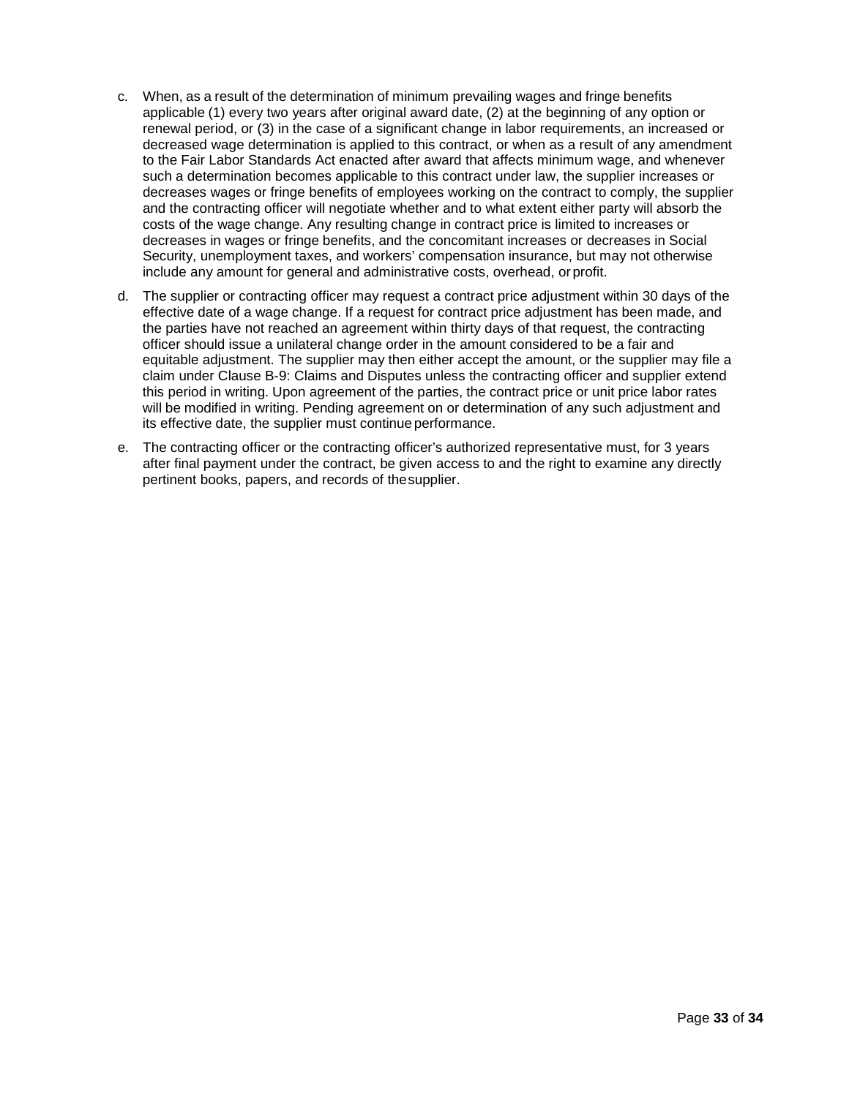- c. When, as a result of the determination of minimum prevailing wages and fringe benefits applicable (1) every two years after original award date, (2) at the beginning of any option or renewal period, or (3) in the case of a significant change in labor requirements, an increased or decreased wage determination is applied to this contract, or when as a result of any amendment to the Fair Labor Standards Act enacted after award that affects minimum wage, and whenever such a determination becomes applicable to this contract under law, the supplier increases or decreases wages or fringe benefits of employees working on the contract to comply, the supplier and the contracting officer will negotiate whether and to what extent either party will absorb the costs of the wage change. Any resulting change in contract price is limited to increases or decreases in wages or fringe benefits, and the concomitant increases or decreases in Social Security, unemployment taxes, and workers' compensation insurance, but may not otherwise include any amount for general and administrative costs, overhead, or profit.
- d. The supplier or contracting officer may request a contract price adjustment within 30 days of the effective date of a wage change. If a request for contract price adjustment has been made, and the parties have not reached an agreement within thirty days of that request, the contracting officer should issue a unilateral change order in the amount considered to be a fair and equitable adjustment. The supplier may then either accept the amount, or the supplier may file a claim under Clause B-9: Claims and Disputes unless the contracting officer and supplier extend this period in writing. Upon agreement of the parties, the contract price or unit price labor rates will be modified in writing. Pending agreement on or determination of any such adjustment and its effective date, the supplier must continue performance.
- e. The contracting officer or the contracting officer's authorized representative must, for 3 years after final payment under the contract, be given access to and the right to examine any directly pertinent books, papers, and records of thesupplier.